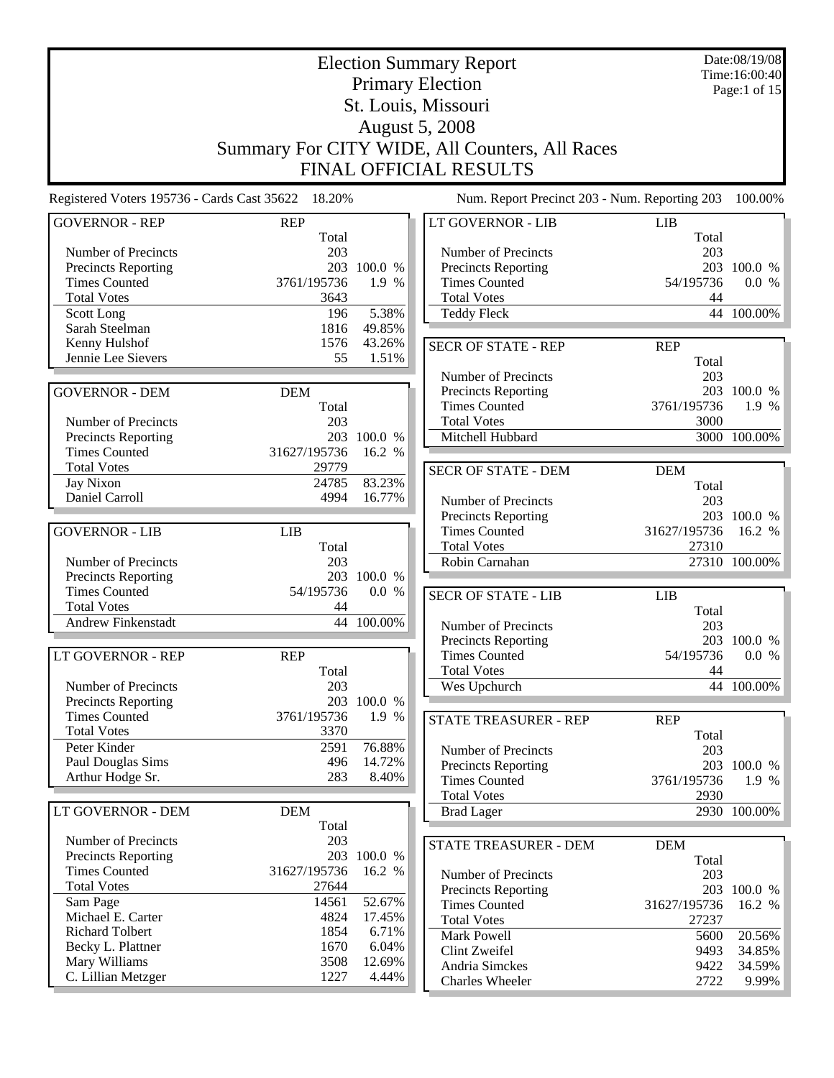|                                                    | <b>Election Summary Report</b> |                 |                                                |                     |                                        |  |  |  |  |  |
|----------------------------------------------------|--------------------------------|-----------------|------------------------------------------------|---------------------|----------------------------------------|--|--|--|--|--|
|                                                    |                                |                 | <b>Primary Election</b>                        |                     | Time:16:00:40<br>Page:1 of $15$        |  |  |  |  |  |
|                                                    |                                |                 | St. Louis, Missouri                            |                     |                                        |  |  |  |  |  |
|                                                    |                                |                 | <b>August 5, 2008</b>                          |                     |                                        |  |  |  |  |  |
|                                                    |                                |                 | Summary For CITY WIDE, All Counters, All Races |                     |                                        |  |  |  |  |  |
|                                                    | FINAL OFFICIAL RESULTS         |                 |                                                |                     |                                        |  |  |  |  |  |
| Registered Voters 195736 - Cards Cast 35622 18.20% |                                |                 | Num. Report Precinct 203 - Num. Reporting 203  |                     | 100.00%                                |  |  |  |  |  |
| <b>GOVERNOR - REP</b>                              | <b>REP</b><br>Total            |                 | LT GOVERNOR - LIB                              | <b>LIB</b><br>Total |                                        |  |  |  |  |  |
| Number of Precincts                                | 203                            |                 | Number of Precincts                            | 203                 |                                        |  |  |  |  |  |
| <b>Precincts Reporting</b>                         |                                | 203 100.0 %     | Precincts Reporting                            | 203                 | 100.0 %                                |  |  |  |  |  |
| <b>Times Counted</b>                               | 3761/195736                    | 1.9 %           | <b>Times Counted</b>                           | 54/195736           | 0.0 %                                  |  |  |  |  |  |
| <b>Total Votes</b>                                 | 3643                           |                 | <b>Total Votes</b>                             | 44                  |                                        |  |  |  |  |  |
| Scott Long<br>Sarah Steelman                       | 196<br>1816                    | 5.38%<br>49.85% | Teddy Fleck                                    |                     | 44 100.00%                             |  |  |  |  |  |
| Kenny Hulshof                                      | 1576                           | 43.26%          |                                                |                     |                                        |  |  |  |  |  |
| Jennie Lee Sievers                                 | 55                             | 1.51%           | <b>SECR OF STATE - REP</b>                     | <b>REP</b><br>Total |                                        |  |  |  |  |  |
|                                                    |                                |                 | Number of Precincts                            | 203                 |                                        |  |  |  |  |  |
| <b>GOVERNOR - DEM</b>                              | <b>DEM</b>                     |                 | Precincts Reporting                            |                     | 203 100.0 %                            |  |  |  |  |  |
|                                                    | Total                          |                 | <b>Times Counted</b>                           | 3761/195736         | 1.9 %                                  |  |  |  |  |  |
| Number of Precincts                                | 203                            |                 | <b>Total Votes</b>                             | 3000                |                                        |  |  |  |  |  |
| Precincts Reporting                                |                                | 203 100.0 %     | Mitchell Hubbard                               |                     | $\overline{3000}$ <sup>-</sup> 100.00% |  |  |  |  |  |
| <b>Times Counted</b>                               | 31627/195736                   | 16.2 %          |                                                |                     |                                        |  |  |  |  |  |
| <b>Total Votes</b>                                 | 29779                          |                 | <b>SECR OF STATE - DEM</b>                     | <b>DEM</b>          |                                        |  |  |  |  |  |
| Jay Nixon                                          | 24785                          | 83.23%          |                                                | Total               |                                        |  |  |  |  |  |
| Daniel Carroll                                     | 4994                           | 16.77%          | Number of Precincts                            | 203                 |                                        |  |  |  |  |  |
| <b>GOVERNOR - LIB</b>                              | <b>LIB</b>                     |                 | Precincts Reporting<br><b>Times Counted</b>    | 31627/195736        | 203 100.0 %<br>16.2 %                  |  |  |  |  |  |
|                                                    | Total                          |                 | <b>Total Votes</b>                             | 27310               |                                        |  |  |  |  |  |
| Number of Precincts                                | 203                            |                 | Robin Carnahan                                 |                     | 27310 100.00%                          |  |  |  |  |  |
| <b>Precincts Reporting</b>                         |                                | 203 100.0 %     |                                                |                     |                                        |  |  |  |  |  |
| <b>Times Counted</b>                               | 54/195736                      | 0.0 %           | <b>SECR OF STATE - LIB</b>                     | <b>LIB</b>          |                                        |  |  |  |  |  |
| <b>Total Votes</b>                                 | 44                             |                 |                                                | Total               |                                        |  |  |  |  |  |
| <b>Andrew Finkenstadt</b>                          |                                | 44 100.00%      | Number of Precincts                            | 203                 |                                        |  |  |  |  |  |
|                                                    |                                |                 | <b>Precincts Reporting</b>                     | 203                 | 100.0 %                                |  |  |  |  |  |
| LT GOVERNOR - REP                                  | <b>REP</b>                     |                 | <b>Times Counted</b>                           | 54/195736           | 0.0 %                                  |  |  |  |  |  |
|                                                    | Total                          |                 | <b>Total Votes</b>                             | 44                  |                                        |  |  |  |  |  |
| Number of Precincts<br><b>Precincts Reporting</b>  | 203<br>203                     | 100.0 %         | Wes Upchurch                                   |                     | 44 100.00%                             |  |  |  |  |  |
| <b>Times Counted</b>                               | 3761/195736                    | 1.9 %           |                                                |                     |                                        |  |  |  |  |  |
| <b>Total Votes</b>                                 | 3370                           |                 | STATE TREASURER - REP                          | <b>REP</b><br>Total |                                        |  |  |  |  |  |
| Peter Kinder                                       | 2591                           | 76.88%          | Number of Precincts                            | 203                 |                                        |  |  |  |  |  |
| Paul Douglas Sims                                  | 496                            | 14.72%          | Precincts Reporting                            | 203                 | 100.0 %                                |  |  |  |  |  |
| Arthur Hodge Sr.                                   | 283                            | 8.40%           | <b>Times Counted</b>                           | 3761/195736         | 1.9 %                                  |  |  |  |  |  |
|                                                    |                                |                 | <b>Total Votes</b>                             | 2930                |                                        |  |  |  |  |  |
| LT GOVERNOR - DEM                                  | <b>DEM</b><br>Total            |                 | <b>Brad Lager</b>                              |                     | 2930 100.00%                           |  |  |  |  |  |
| Number of Precincts                                | 203                            |                 | STATE TREASURER - DEM                          | <b>DEM</b>          |                                        |  |  |  |  |  |
| <b>Precincts Reporting</b>                         | 203                            | 100.0 %         |                                                | Total               |                                        |  |  |  |  |  |
| <b>Times Counted</b>                               | 31627/195736                   | 16.2 %          | Number of Precincts                            | 203                 |                                        |  |  |  |  |  |
| <b>Total Votes</b>                                 | 27644                          |                 | Precincts Reporting                            | 203                 | 100.0 %                                |  |  |  |  |  |
| Sam Page                                           | 14561                          | 52.67%          | <b>Times Counted</b>                           | 31627/195736        | 16.2 %                                 |  |  |  |  |  |
| Michael E. Carter                                  | 4824                           | 17.45%          | <b>Total Votes</b>                             | 27237               |                                        |  |  |  |  |  |
| <b>Richard Tolbert</b><br>Becky L. Plattner        | 1854<br>1670                   | 6.71%<br>6.04%  | Mark Powell                                    | 5600                | 20.56%                                 |  |  |  |  |  |
| Mary Williams                                      | 3508                           | 12.69%          | Clint Zweifel                                  | 9493                | 34.85%                                 |  |  |  |  |  |
| C. Lillian Metzger                                 | 1227                           | 4.44%           | Andria Simckes                                 | 9422<br>2722        | 34.59%                                 |  |  |  |  |  |
|                                                    |                                |                 | Charles Wheeler                                |                     | 9.99%                                  |  |  |  |  |  |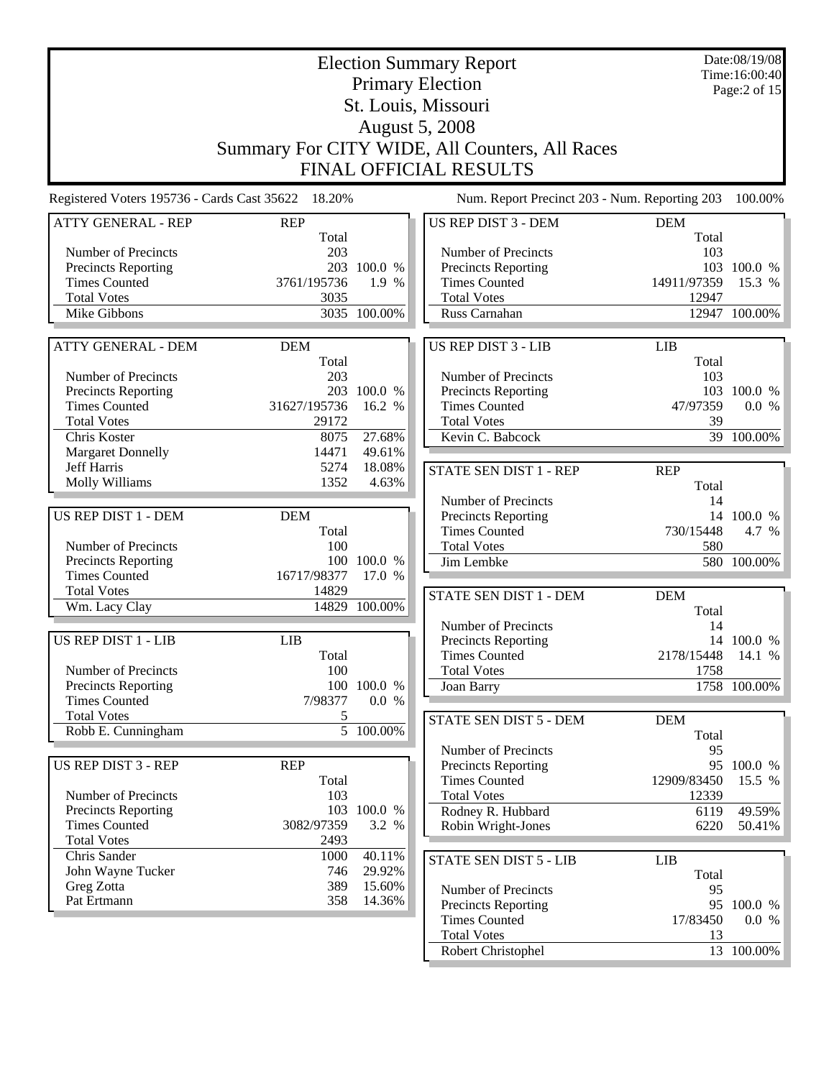|                                                    | <b>Election Summary Report</b> |                  | Date:08/19/08<br>Time:16:00:40                 |                     |                 |
|----------------------------------------------------|--------------------------------|------------------|------------------------------------------------|---------------------|-----------------|
|                                                    |                                |                  | <b>Primary Election</b>                        |                     | Page: $2$ of 15 |
|                                                    |                                |                  | St. Louis, Missouri                            |                     |                 |
|                                                    |                                |                  | <b>August 5, 2008</b>                          |                     |                 |
|                                                    |                                |                  |                                                |                     |                 |
|                                                    |                                |                  | Summary For CITY WIDE, All Counters, All Races |                     |                 |
|                                                    |                                |                  | FINAL OFFICIAL RESULTS                         |                     |                 |
| Registered Voters 195736 - Cards Cast 35622 18.20% |                                |                  | Num. Report Precinct 203 - Num. Reporting 203  |                     | 100.00%         |
| <b>ATTY GENERAL - REP</b>                          | <b>REP</b><br>Total            |                  | <b>US REP DIST 3 - DEM</b>                     | <b>DEM</b><br>Total |                 |
| Number of Precincts                                | 203                            |                  | Number of Precincts                            | 103                 |                 |
| Precincts Reporting                                |                                | 203 100.0 %      | Precincts Reporting                            |                     | 103 100.0 %     |
| <b>Times Counted</b>                               | 3761/195736                    | 1.9 %            | <b>Times Counted</b>                           | 14911/97359         | 15.3 %          |
| <b>Total Votes</b>                                 | 3035                           |                  | <b>Total Votes</b>                             | 12947               |                 |
| Mike Gibbons                                       |                                | 3035 100.00%     | Russ Carnahan                                  |                     | 12947 100.00%   |
|                                                    |                                |                  |                                                |                     |                 |
| <b>ATTY GENERAL - DEM</b>                          | <b>DEM</b><br>Total            |                  | <b>US REP DIST 3 - LIB</b>                     | LIB<br>Total        |                 |
| Number of Precincts                                | 203                            |                  | Number of Precincts                            | 103                 |                 |
| Precincts Reporting                                |                                | 203 100.0 %      | <b>Precincts Reporting</b>                     |                     | 103 100.0 %     |
| <b>Times Counted</b>                               | 31627/195736                   | 16.2 %           | <b>Times Counted</b>                           | 47/97359            | 0.0 %           |
| <b>Total Votes</b>                                 | 29172                          |                  | <b>Total Votes</b>                             | 39                  |                 |
| Chris Koster                                       | 8075                           | 27.68%           | Kevin C. Babcock                               |                     | 39 100.00%      |
| <b>Margaret Donnelly</b>                           | 14471                          | 49.61%           |                                                |                     |                 |
| <b>Jeff Harris</b>                                 | 5274                           | 18.08%           | STATE SEN DIST 1 - REP                         | <b>REP</b>          |                 |
| Molly Williams                                     | 1352                           | 4.63%            |                                                | Total               |                 |
|                                                    |                                |                  | Number of Precincts                            | 14                  |                 |
| US REP DIST 1 - DEM                                | <b>DEM</b>                     |                  | Precincts Reporting                            |                     | 14 100.0 %      |
| Number of Precincts                                | Total<br>100                   |                  | <b>Times Counted</b><br><b>Total Votes</b>     | 730/15448<br>580    | 4.7 %           |
| Precincts Reporting                                |                                | 100 100.0 %      | Jim Lembke                                     |                     | 580 100.00%     |
| <b>Times Counted</b>                               | 16717/98377                    | 17.0 %           |                                                |                     |                 |
| <b>Total Votes</b>                                 | 14829                          |                  | STATE SEN DIST 1 - DEM                         | <b>DEM</b>          |                 |
| Wm. Lacy Clay                                      |                                | 14829 100.00%    |                                                | Total               |                 |
|                                                    |                                |                  | Number of Precincts                            | 14                  |                 |
| US REP DIST 1 - LIB                                | <b>LIB</b>                     |                  | <b>Precincts Reporting</b>                     |                     | 14 100.0 %      |
|                                                    | Total                          |                  | <b>Times Counted</b>                           | 2178/15448          | 14.1 %          |
| Number of Precincts                                | 100                            |                  | <b>Total Votes</b>                             | 1758                |                 |
| Precincts Reporting                                |                                | 100 100.0 %      | Joan Barry                                     |                     | 1758 100.00%    |
| <b>Times Counted</b><br><b>Total Votes</b>         | 7/98377<br>5                   | 0.0 %            |                                                |                     |                 |
| Robb E. Cunningham                                 | 5                              | 100.00%          | STATE SEN DIST 5 - DEM                         | <b>DEM</b>          |                 |
|                                                    |                                |                  | Number of Precincts                            | Total<br>95         |                 |
| <b>US REP DIST 3 - REP</b>                         | <b>REP</b>                     |                  | Precincts Reporting                            |                     | 95 100.0 %      |
|                                                    | Total                          |                  | <b>Times Counted</b>                           | 12909/83450         | 15.5 %          |
| Number of Precincts                                | 103                            |                  | <b>Total Votes</b>                             | 12339               |                 |
| Precincts Reporting                                |                                | 103 100.0 %      | Rodney R. Hubbard                              | 6119                | 49.59%          |
| <b>Times Counted</b>                               | 3082/97359                     | 3.2 %            | Robin Wright-Jones                             | 6220                | 50.41%          |
| <b>Total Votes</b>                                 | 2493                           |                  |                                                |                     |                 |
| Chris Sander                                       | 1000                           | 40.11%           | STATE SEN DIST 5 - LIB                         | <b>LIB</b>          |                 |
| John Wayne Tucker<br>Greg Zotta                    | 746<br>389                     | 29.92%<br>15.60% |                                                | Total               |                 |
| Pat Ertmann                                        | 358                            | 14.36%           | Number of Precincts                            | 95                  |                 |
|                                                    |                                |                  | <b>Precincts Reporting</b>                     |                     | 95 100.0 %      |
|                                                    |                                |                  | <b>Times Counted</b><br><b>Total Votes</b>     | 17/83450<br>13      | 0.0 %           |
|                                                    |                                |                  | Robert Christophel                             |                     | 13 100.00%      |
|                                                    |                                |                  |                                                |                     |                 |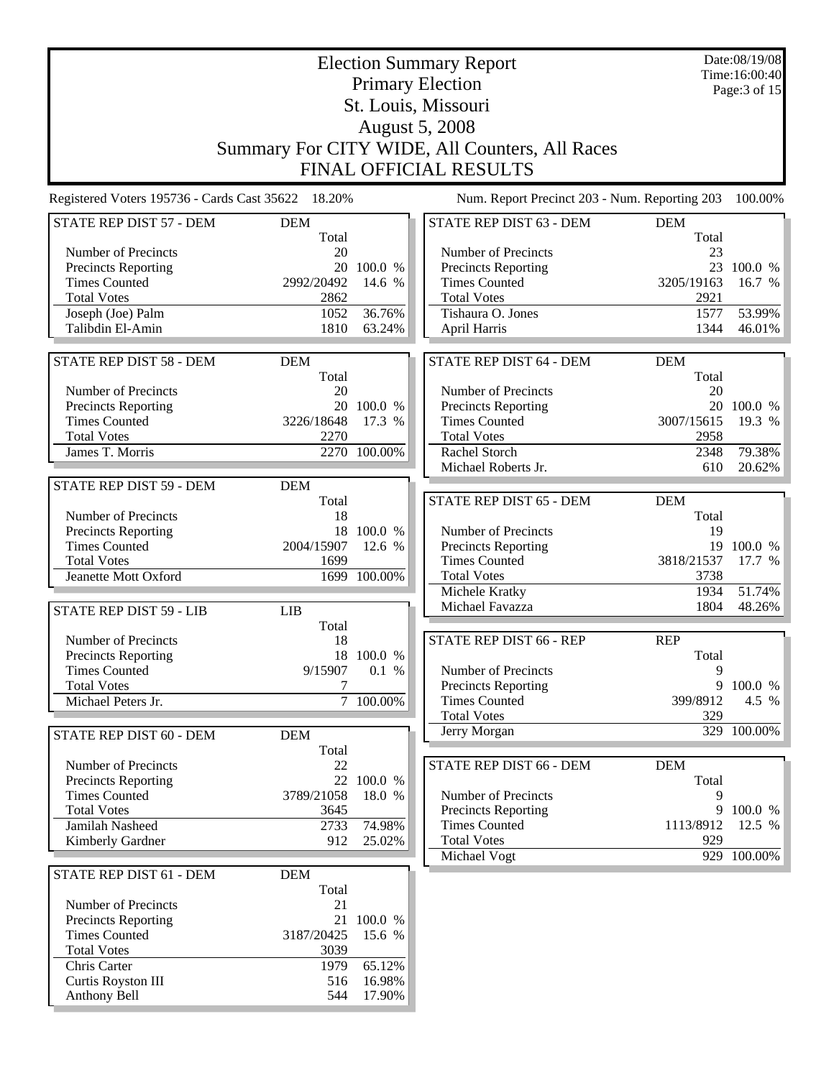|                                                    |                         | Date:08/19/08<br>Time:16:00:40 |                                                |                     |                  |  |
|----------------------------------------------------|-------------------------|--------------------------------|------------------------------------------------|---------------------|------------------|--|
|                                                    | <b>Primary Election</b> |                                |                                                |                     |                  |  |
|                                                    |                         |                                | St. Louis, Missouri                            |                     | Page:3 of 15     |  |
|                                                    |                         |                                | <b>August 5, 2008</b>                          |                     |                  |  |
|                                                    |                         |                                | Summary For CITY WIDE, All Counters, All Races |                     |                  |  |
|                                                    |                         |                                | <b>FINAL OFFICIAL RESULTS</b>                  |                     |                  |  |
| Registered Voters 195736 - Cards Cast 35622 18.20% |                         |                                | Num. Report Precinct 203 - Num. Reporting 203  |                     | 100.00%          |  |
|                                                    |                         |                                |                                                |                     |                  |  |
| STATE REP DIST 57 - DEM                            | <b>DEM</b><br>Total     |                                | STATE REP DIST 63 - DEM                        | <b>DEM</b><br>Total |                  |  |
| Number of Precincts                                | 20                      |                                | Number of Precincts                            | 23                  |                  |  |
| <b>Precincts Reporting</b>                         | 20                      | 100.0 %                        | Precincts Reporting                            | 23                  | 100.0 %          |  |
| <b>Times Counted</b>                               | 2992/20492              | 14.6 %                         | <b>Times Counted</b>                           | 3205/19163          | 16.7 %           |  |
| <b>Total Votes</b>                                 | 2862                    |                                | <b>Total Votes</b>                             | 2921                |                  |  |
| Joseph (Joe) Palm<br>Talibdin El-Amin              | 1052<br>1810            | 36.76%<br>63.24%               | Tishaura O. Jones<br><b>April Harris</b>       | 1577<br>1344        | 53.99%<br>46.01% |  |
|                                                    |                         |                                |                                                |                     |                  |  |
| STATE REP DIST 58 - DEM                            | <b>DEM</b>              |                                | STATE REP DIST 64 - DEM                        | <b>DEM</b>          |                  |  |
|                                                    | Total                   |                                |                                                | Total               |                  |  |
| Number of Precincts                                | 20                      |                                | Number of Precincts                            | 20                  |                  |  |
| <b>Precincts Reporting</b>                         |                         | 20 100.0 %                     | <b>Precincts Reporting</b>                     | 20                  | 100.0 %          |  |
| <b>Times Counted</b>                               | 3226/18648              | 17.3 %                         | <b>Times Counted</b>                           | 3007/15615          | 19.3 %           |  |
| <b>Total Votes</b>                                 | 2270                    |                                | <b>Total Votes</b>                             | 2958                |                  |  |
| James T. Morris                                    |                         | 2270 100.00%                   | Rachel Storch<br>Michael Roberts Jr.           | 2348<br>610         | 79.38%<br>20.62% |  |
| STATE REP DIST 59 - DEM                            |                         |                                |                                                |                     |                  |  |
|                                                    | <b>DEM</b><br>Total     |                                | STATE REP DIST 65 - DEM                        | <b>DEM</b>          |                  |  |
| Number of Precincts                                | 18                      |                                |                                                | Total               |                  |  |
| <b>Precincts Reporting</b>                         |                         | 18 100.0 %                     | Number of Precincts                            | 19                  |                  |  |
| <b>Times Counted</b>                               | 2004/15907              | 12.6 %                         | Precincts Reporting                            |                     | 19 100.0 %       |  |
| <b>Total Votes</b>                                 | 1699                    |                                | <b>Times Counted</b>                           | 3818/21537          | 17.7 %           |  |
| Jeanette Mott Oxford                               |                         | 1699 100.00%                   | <b>Total Votes</b>                             | 3738                |                  |  |
|                                                    |                         |                                | Michele Kratky                                 | 1934                | 51.74%           |  |
| STATE REP DIST 59 - LIB                            | <b>LIB</b>              |                                | Michael Favazza                                | 1804                | 48.26%           |  |
| Number of Precincts                                | Total<br>18             |                                | STATE REP DIST 66 - REP                        | <b>REP</b>          |                  |  |
| <b>Precincts Reporting</b>                         |                         | 18 100.0 %                     |                                                | Total               |                  |  |
| <b>Times Counted</b>                               | 9/15907                 | 0.1 %                          | Number of Precincts                            | 9                   |                  |  |
| <b>Total Votes</b>                                 | 7                       |                                | <b>Precincts Reporting</b>                     |                     | 9 100.0 %        |  |
| Michael Peters Jr.                                 |                         | 7 100.00%                      | <b>Times Counted</b>                           | 399/8912            | 4.5 %            |  |
|                                                    |                         |                                | <b>Total Votes</b>                             | 329                 |                  |  |
| STATE REP DIST 60 - DEM                            | <b>DEM</b>              |                                | Jerry Morgan                                   |                     | 329 100.00%      |  |
|                                                    | Total                   |                                |                                                |                     |                  |  |
| Number of Precincts                                | 22                      |                                | STATE REP DIST 66 - DEM                        | <b>DEM</b>          |                  |  |
| Precincts Reporting<br><b>Times Counted</b>        | 3789/21058              | 22 100.0 %<br>18.0 %           | Number of Precincts                            | Total<br>9          |                  |  |
| <b>Total Votes</b>                                 | 3645                    |                                | Precincts Reporting                            |                     | 9 100.0 %        |  |
| Jamilah Nasheed                                    | 2733                    | 74.98%                         | <b>Times Counted</b>                           | 1113/8912           | 12.5 %           |  |
| Kimberly Gardner                                   | 912                     | 25.02%                         | <b>Total Votes</b>                             | 929                 |                  |  |
|                                                    |                         |                                | Michael Vogt                                   |                     | 929 100.00%      |  |
| STATE REP DIST 61 - DEM                            | <b>DEM</b>              |                                |                                                |                     |                  |  |
| Number of Precincts                                | Total<br>21             |                                |                                                |                     |                  |  |
| <b>Precincts Reporting</b>                         | 21                      | 100.0 %                        |                                                |                     |                  |  |
| <b>Times Counted</b>                               | 3187/20425              | 15.6 %                         |                                                |                     |                  |  |
| <b>Total Votes</b>                                 | 3039                    |                                |                                                |                     |                  |  |
| Chris Carter                                       | 1979                    | 65.12%                         |                                                |                     |                  |  |
| Curtis Royston III                                 | 516                     | 16.98%                         |                                                |                     |                  |  |
| Anthony Bell                                       | 544                     | 17.90%                         |                                                |                     |                  |  |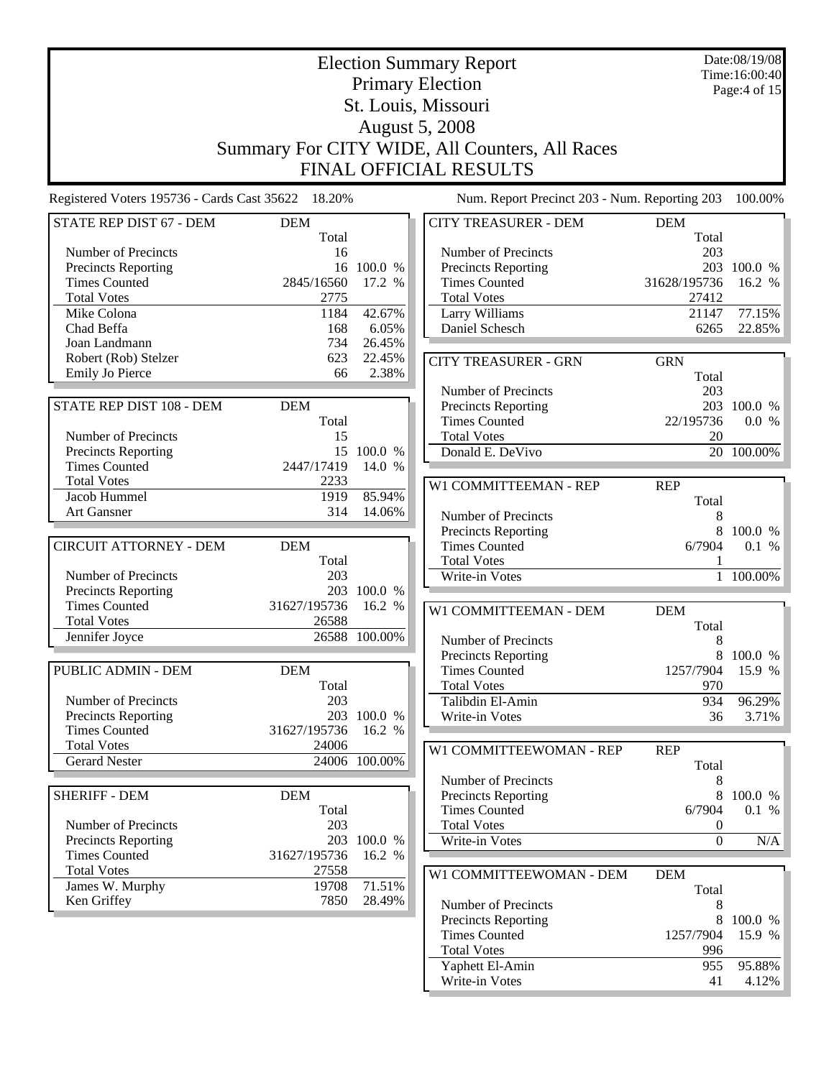|                                                    |                     |                       | <b>Election Summary Report</b>                 |                  | Date:08/19/08<br>Time:16:00:40 |  |
|----------------------------------------------------|---------------------|-----------------------|------------------------------------------------|------------------|--------------------------------|--|
|                                                    |                     |                       | <b>Primary Election</b>                        |                  | Page:4 of 15                   |  |
|                                                    | St. Louis, Missouri |                       |                                                |                  |                                |  |
|                                                    |                     |                       | <b>August 5, 2008</b>                          |                  |                                |  |
|                                                    |                     |                       | Summary For CITY WIDE, All Counters, All Races |                  |                                |  |
|                                                    |                     |                       | <b>FINAL OFFICIAL RESULTS</b>                  |                  |                                |  |
| Registered Voters 195736 - Cards Cast 35622 18.20% |                     |                       | Num. Report Precinct 203 - Num. Reporting 203  |                  | 100.00%                        |  |
| STATE REP DIST 67 - DEM                            | <b>DEM</b>          |                       | <b>CITY TREASURER - DEM</b>                    | <b>DEM</b>       |                                |  |
|                                                    | Total               |                       |                                                | Total            |                                |  |
| Number of Precincts                                | 16                  |                       | Number of Precincts                            | 203              |                                |  |
| Precincts Reporting                                |                     | 16 100.0 %            | <b>Precincts Reporting</b>                     |                  | 203 100.0 %                    |  |
| <b>Times Counted</b>                               | 2845/16560          | 17.2 %                | <b>Times Counted</b>                           | 31628/195736     | 16.2 %                         |  |
| <b>Total Votes</b>                                 | 2775                |                       | <b>Total Votes</b>                             | 27412            |                                |  |
| Mike Colona                                        | 1184<br>168         | 42.67%<br>6.05%       | Larry Williams<br>Daniel Schesch               | 21147<br>6265    | 77.15%<br>22.85%               |  |
| Chad Beffa<br>Joan Landmann                        | 734                 | 26.45%                |                                                |                  |                                |  |
| Robert (Rob) Stelzer                               | 623                 | 22.45%                | <b>CITY TREASURER - GRN</b>                    | <b>GRN</b>       |                                |  |
| <b>Emily Jo Pierce</b>                             | 66                  | 2.38%                 |                                                | Total            |                                |  |
|                                                    |                     |                       | Number of Precincts                            | 203              |                                |  |
| STATE REP DIST 108 - DEM                           | <b>DEM</b>          |                       | <b>Precincts Reporting</b>                     |                  | 203 100.0 %                    |  |
|                                                    | Total               |                       | <b>Times Counted</b>                           | 22/195736        | 0.0 %                          |  |
| Number of Precincts                                | 15                  |                       | <b>Total Votes</b>                             | 20               |                                |  |
| <b>Precincts Reporting</b>                         |                     | 15 100.0 %            | Donald E. DeVivo                               |                  | 20 100.00%                     |  |
| <b>Times Counted</b>                               | 2447/17419          | 14.0 %                |                                                |                  |                                |  |
| <b>Total Votes</b>                                 | 2233                |                       | W1 COMMITTEEMAN - REP                          | <b>REP</b>       |                                |  |
| Jacob Hummel                                       | 1919<br>314         | 85.94%                |                                                | Total            |                                |  |
| <b>Art Gansner</b>                                 |                     | 14.06%                | Number of Precincts                            | 8                |                                |  |
| <b>CIRCUIT ATTORNEY - DEM</b>                      |                     |                       | <b>Precincts Reporting</b>                     | 8                | 100.0 %                        |  |
|                                                    | <b>DEM</b><br>Total |                       | <b>Times Counted</b><br><b>Total Votes</b>     | 6/7904           | 0.1 %                          |  |
| Number of Precincts                                | 203                 |                       | Write-in Votes                                 | $\mathbf{1}$     | 100.00%                        |  |
| Precincts Reporting                                |                     | 203 100.0 %           |                                                |                  |                                |  |
| <b>Times Counted</b>                               | 31627/195736        | 16.2 %                | W1 COMMITTEEMAN - DEM                          | <b>DEM</b>       |                                |  |
| <b>Total Votes</b>                                 | 26588               |                       |                                                | Total            |                                |  |
| Jennifer Joyce                                     |                     | 26588 100.00%         | Number of Precincts                            | 8                |                                |  |
|                                                    |                     |                       | <b>Precincts Reporting</b>                     |                  | 8 100.0 %                      |  |
| <b>PUBLIC ADMIN - DEM</b>                          | <b>DEM</b>          |                       | <b>Times Counted</b>                           | 1257/7904        | 15.9 %                         |  |
|                                                    | Total               |                       | <b>Total Votes</b>                             | 970              |                                |  |
| Number of Precincts                                | 203                 |                       | Talibdin El-Amin                               | 934              | 96.29%                         |  |
| Precincts Reporting<br><b>Times Counted</b>        | 31627/195736        | 203 100.0 %<br>16.2 % | Write-in Votes                                 | 36               | 3.71%                          |  |
| <b>Total Votes</b>                                 | 24006               |                       |                                                |                  |                                |  |
| <b>Gerard Nester</b>                               |                     | 24006 100.00%         | W1 COMMITTEEWOMAN - REP                        | <b>REP</b>       |                                |  |
|                                                    |                     |                       | Number of Precincts                            | Total            |                                |  |
| <b>SHERIFF - DEM</b>                               | <b>DEM</b>          |                       | Precincts Reporting                            | 8<br>8           | 100.0 %                        |  |
|                                                    | Total               |                       | <b>Times Counted</b>                           | 6/7904           | 0.1 %                          |  |
| Number of Precincts                                | 203                 |                       | <b>Total Votes</b>                             | 0                |                                |  |
| <b>Precincts Reporting</b>                         |                     | 203 100.0 %           | Write-in Votes                                 | $\boldsymbol{0}$ | N/A                            |  |
| <b>Times Counted</b>                               | 31627/195736        | 16.2 %                |                                                |                  |                                |  |
| <b>Total Votes</b>                                 | 27558               |                       | W1 COMMITTEEWOMAN - DEM                        | <b>DEM</b>       |                                |  |
| James W. Murphy                                    | 19708               | 71.51%                |                                                | Total            |                                |  |
| Ken Griffey                                        | 7850                | 28.49%                | Number of Precincts                            | 8                |                                |  |
|                                                    |                     |                       | <b>Precincts Reporting</b>                     | 8                | 100.0 %                        |  |
|                                                    |                     |                       | <b>Times Counted</b>                           | 1257/7904        | 15.9 %                         |  |
|                                                    |                     |                       | <b>Total Votes</b><br>Yaphett El-Amin          | 996<br>955       | 95.88%                         |  |
|                                                    |                     |                       | Write-in Votes                                 | 41               | 4.12%                          |  |
|                                                    |                     |                       |                                                |                  |                                |  |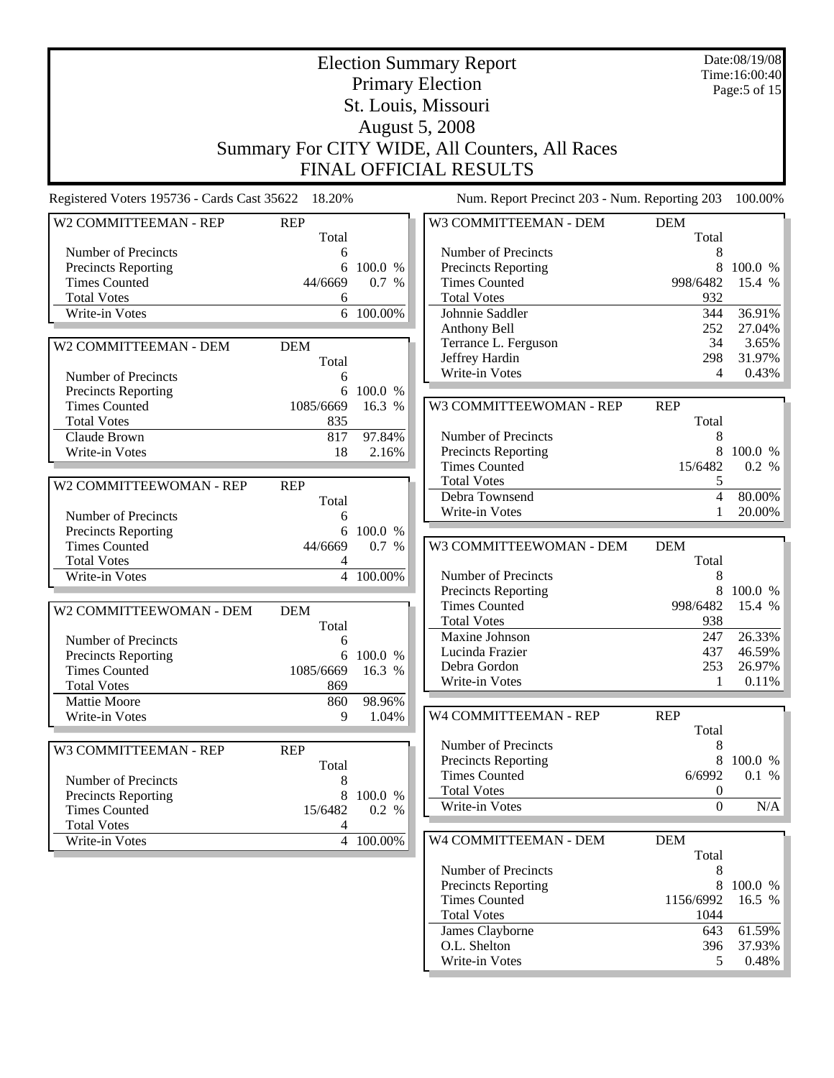|                                             |                     | Date:08/19/08<br>Time:16:00:40<br>Page: 5 of 15 |                                                                                 |                     |         |
|---------------------------------------------|---------------------|-------------------------------------------------|---------------------------------------------------------------------------------|---------------------|---------|
|                                             |                     |                                                 | <b>August 5, 2008</b>                                                           |                     |         |
|                                             |                     |                                                 | Summary For CITY WIDE, All Counters, All Races<br><b>FINAL OFFICIAL RESULTS</b> |                     |         |
| Registered Voters 195736 - Cards Cast 35622 | 18.20%              |                                                 | Num. Report Precinct 203 - Num. Reporting 203                                   |                     | 100.00% |
| W2 COMMITTEEMAN - REP                       | <b>REP</b><br>Total |                                                 | W3 COMMITTEEMAN - DEM                                                           | <b>DEM</b><br>Total |         |
| Number of Precincts                         | 6                   |                                                 | Number of Precincts                                                             | 8                   |         |
| Precincts Reporting                         | 6                   | 100.0 %                                         | Precincts Reporting                                                             | 8                   | 100.0 % |
| <b>Times Counted</b>                        | 44/6669             | 0.7 %                                           | <b>Times Counted</b>                                                            | 998/6482            | 15.4 %  |
| <b>Total Votes</b>                          | 6                   |                                                 | <b>Total Votes</b>                                                              | 932                 |         |
| Write-in Votes                              | 6                   | 100.00%                                         | Johnnie Saddler                                                                 | 344                 | 36.91%  |
|                                             |                     |                                                 | Anthony Bell                                                                    | 252                 | 27.04%  |
| W2 COMMITTEEMAN - DEM                       | <b>DEM</b>          |                                                 | Terrance L. Ferguson                                                            | 34                  | 3.65%   |
|                                             | Total               |                                                 | Jeffrey Hardin                                                                  | 298                 | 31.97%  |
| Number of Precincts                         | 6                   |                                                 | Write-in Votes                                                                  | 4                   | 0.43%   |
| Precincts Reporting                         | 6                   | 100.0 %                                         |                                                                                 |                     |         |
| <b>Times Counted</b>                        | 1085/6669           | 16.3 %                                          | W3 COMMITTEEWOMAN - REP                                                         | <b>REP</b>          |         |
| <b>Total Votes</b>                          | 835                 |                                                 |                                                                                 | Total               |         |
| Claude Brown                                | 817                 | 97.84%                                          | Number of Precincts                                                             | 8                   |         |
| Write-in Votes                              | 18                  | 2.16%                                           | Precincts Reporting                                                             | 8                   | 100.0 % |
|                                             |                     |                                                 | <b>Times Counted</b>                                                            | 15/6482             | 0.2 %   |
| W2 COMMITTEEWOMAN - REP                     | <b>REP</b>          |                                                 | <b>Total Votes</b>                                                              | 5                   |         |
|                                             | Total               |                                                 | Debra Townsend                                                                  | $\overline{4}$      | 80.00%  |
| Number of Precincts                         | 6                   |                                                 | Write-in Votes                                                                  |                     | 20.00%  |
| Precincts Reporting                         | 6                   | 100.0 %                                         |                                                                                 |                     |         |
| <b>Times Counted</b>                        | 44/6669             | 0.7 %                                           | W3 COMMITTEEWOMAN - DEM                                                         | <b>DEM</b>          |         |
| <b>Total Votes</b>                          | 4                   |                                                 |                                                                                 | Total               |         |
| Write-in Votes                              | 4                   | 100.00%                                         | Number of Precincts                                                             | 8                   |         |
|                                             |                     |                                                 | Precincts Reporting                                                             | 8                   | 100.0 % |
| W2 COMMITTEEWOMAN - DEM                     | <b>DEM</b>          |                                                 | <b>Times Counted</b>                                                            | 998/6482            | 15.4 %  |
|                                             | Total               |                                                 | <b>Total Votes</b>                                                              | 938                 |         |
| Number of Precincts                         | 6                   |                                                 | Maxine Johnson                                                                  | 247                 | 26.33%  |
| <b>Precincts Reporting</b>                  | 6                   | 100.0 %                                         | Lucinda Frazier                                                                 | 437                 | 46.59%  |
| <b>Times Counted</b>                        | 1085/6669           | 16.3 %                                          | Debra Gordon                                                                    | 253                 | 26.97%  |
| <b>Total Votes</b>                          | 869                 |                                                 | Write-in Votes                                                                  | 1                   | 0.11%   |
| Mattie Moore                                | 860                 | 98.96%                                          |                                                                                 |                     |         |
| Write-in Votes                              | 9                   | 1.04%                                           | W4 COMMITTEEMAN - REP                                                           | <b>REP</b>          |         |
|                                             |                     |                                                 |                                                                                 | Total               |         |
| W3 COMMITTEEMAN - REP                       | <b>REP</b>          |                                                 | Number of Precincts                                                             | 8                   |         |
|                                             | Total               |                                                 | <b>Precincts Reporting</b>                                                      | 8                   | 100.0 % |
| Number of Precincts                         | 8                   |                                                 | <b>Times Counted</b>                                                            | 6/6992              | 0.1 %   |
| <b>Precincts Reporting</b>                  | 8                   | 100.0 %                                         | <b>Total Votes</b>                                                              | $\boldsymbol{0}$    |         |
| <b>Times Counted</b>                        | 15/6482             | 0.2 %                                           | Write-in Votes                                                                  | $\overline{0}$      | N/A     |
| <b>Total Votes</b>                          | 4                   |                                                 |                                                                                 |                     |         |
| Write-in Votes                              |                     | 4 100.00%                                       | W4 COMMITTEEMAN - DEM                                                           | <b>DEM</b><br>Total |         |
|                                             |                     |                                                 | Number of Precincts                                                             | 8                   |         |
|                                             |                     |                                                 | Precincts Reporting                                                             | 8                   | 100.0 % |
|                                             |                     |                                                 | <b>Times Counted</b>                                                            | 1156/6992           | 16.5 %  |
|                                             |                     |                                                 | <b>Total Votes</b>                                                              | 1044                |         |
|                                             |                     |                                                 | James Clayborne                                                                 | 643                 | 61.59%  |
|                                             |                     |                                                 | O.L. Shelton                                                                    | 396                 | 37.93%  |
|                                             |                     |                                                 | Write-in Votes                                                                  | 5                   | 0.48%   |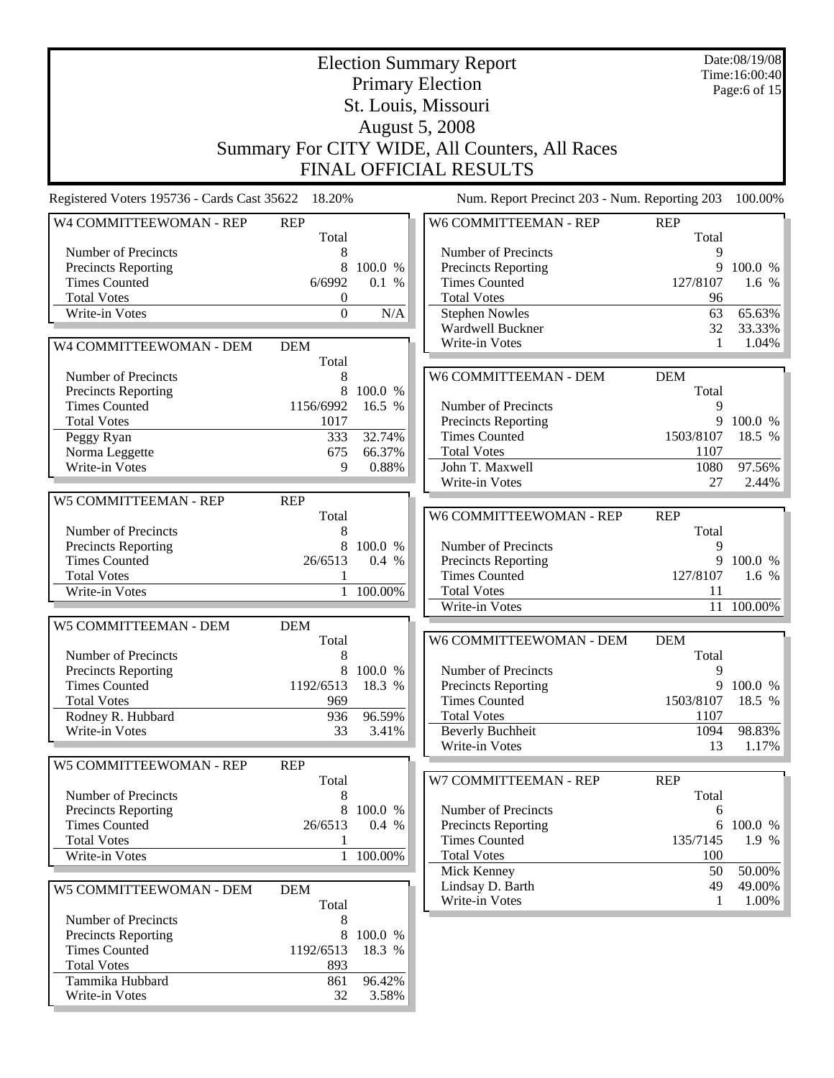|                                                    | Date:08/19/08<br><b>Election Summary Report</b><br>Time:16:00:40 |            |                                                    |               |                  |
|----------------------------------------------------|------------------------------------------------------------------|------------|----------------------------------------------------|---------------|------------------|
|                                                    |                                                                  |            | <b>Primary Election</b>                            |               | Page:6 of 15     |
|                                                    | St. Louis, Missouri                                              |            |                                                    |               |                  |
|                                                    |                                                                  |            | <b>August 5, 2008</b>                              |               |                  |
|                                                    |                                                                  |            | Summary For CITY WIDE, All Counters, All Races     |               |                  |
|                                                    |                                                                  |            |                                                    |               |                  |
|                                                    |                                                                  |            | <b>FINAL OFFICIAL RESULTS</b>                      |               |                  |
| Registered Voters 195736 - Cards Cast 35622 18.20% |                                                                  |            | Num. Report Precinct 203 - Num. Reporting 203      |               | 100.00%          |
| W4 COMMITTEEWOMAN - REP                            | <b>REP</b>                                                       |            | W6 COMMITTEEMAN - REP                              | <b>REP</b>    |                  |
|                                                    | Total                                                            |            |                                                    | Total         |                  |
| Number of Precincts<br><b>Precincts Reporting</b>  | 8<br>8                                                           | 100.0 %    | Number of Precincts<br><b>Precincts Reporting</b>  | 9<br>9        | 100.0 %          |
| <b>Times Counted</b>                               | 6/6992                                                           | 0.1 %      | <b>Times Counted</b>                               | 127/8107      | 1.6 %            |
| <b>Total Votes</b>                                 | $\boldsymbol{0}$                                                 |            | <b>Total Votes</b>                                 | 96            |                  |
| Write-in Votes                                     | $\Omega$                                                         | N/A        | <b>Stephen Nowles</b>                              | 63            | 65.63%           |
|                                                    |                                                                  |            | Wardwell Buckner                                   | 32            | 33.33%           |
| W4 COMMITTEEWOMAN - DEM                            | <b>DEM</b>                                                       |            | Write-in Votes                                     | 1             | 1.04%            |
|                                                    | Total                                                            |            |                                                    |               |                  |
| Number of Precincts                                | 8                                                                |            | W6 COMMITTEEMAN - DEM                              | <b>DEM</b>    |                  |
| <b>Precincts Reporting</b>                         | 8                                                                | 100.0 %    |                                                    | Total         |                  |
| <b>Times Counted</b><br><b>Total Votes</b>         | 1156/6992                                                        | 16.5 %     | Number of Precincts                                | 9<br>9        | 100.0 %          |
| Peggy Ryan                                         | 1017<br>333                                                      | 32.74%     | Precincts Reporting<br><b>Times Counted</b>        | 1503/8107     | 18.5 %           |
| Norma Leggette                                     | 675                                                              | 66.37%     | <b>Total Votes</b>                                 | 1107          |                  |
| Write-in Votes                                     | 9                                                                | 0.88%      | John T. Maxwell                                    | 1080          | 97.56%           |
|                                                    |                                                                  |            | Write-in Votes                                     | 27            | 2.44%            |
| <b>W5 COMMITTEEMAN - REP</b>                       | <b>REP</b>                                                       |            |                                                    |               |                  |
|                                                    | Total                                                            |            | W6 COMMITTEEWOMAN - REP                            | <b>REP</b>    |                  |
| Number of Precincts                                | 8                                                                |            |                                                    | Total         |                  |
| <b>Precincts Reporting</b>                         | 8                                                                | 100.0 %    | Number of Precincts                                | 9             |                  |
| <b>Times Counted</b>                               | 26/6513                                                          | 0.4 %      | <b>Precincts Reporting</b>                         | 9             | 100.0 %          |
| <b>Total Votes</b>                                 | 1                                                                |            | <b>Times Counted</b>                               | 127/8107      | 1.6 %            |
| Write-in Votes                                     | $\mathbf{1}$                                                     | $100.00\%$ | <b>Total Votes</b>                                 | 11            |                  |
|                                                    |                                                                  |            | Write-in Votes                                     |               | 11 100.00%       |
| W5 COMMITTEEMAN - DEM                              | <b>DEM</b>                                                       |            |                                                    |               |                  |
| Number of Precincts                                | Total<br>8                                                       |            | W6 COMMITTEEWOMAN - DEM                            | <b>DEM</b>    |                  |
| <b>Precincts Reporting</b>                         | 8                                                                | 100.0 %    | Number of Precincts                                | Total<br>9    |                  |
| <b>Times Counted</b>                               | 1192/6513                                                        | 18.3 %     | Precincts Reporting                                |               | 9 100.0 %        |
| <b>Total Votes</b>                                 | 969                                                              |            | <b>Times Counted</b>                               | 1503/8107     | 18.5 %           |
| Rodney R. Hubbard                                  | 936                                                              | 96.59%     | <b>Total Votes</b>                                 | 1107          |                  |
| Write-in Votes                                     | 33                                                               | 3.41%      | <b>Beverly Buchheit</b>                            | 1094          | 98.83%           |
|                                                    |                                                                  |            | Write-in Votes                                     | 13            | 1.17%            |
| W5 COMMITTEEWOMAN - REP                            | <b>REP</b>                                                       |            |                                                    |               |                  |
|                                                    | Total                                                            |            | W7 COMMITTEEMAN - REP                              | <b>REP</b>    |                  |
| Number of Precincts                                | 8                                                                |            |                                                    | Total         |                  |
| <b>Precincts Reporting</b>                         | 8                                                                | 100.0 %    | Number of Precincts                                | 6             |                  |
| <b>Times Counted</b><br><b>Total Votes</b>         | 26/6513<br>1                                                     | 0.4 %      | <b>Precincts Reporting</b><br><b>Times Counted</b> | 6<br>135/7145 | 100.0 %<br>1.9 % |
| Write-in Votes                                     |                                                                  | 1 100.00%  | <b>Total Votes</b>                                 | 100           |                  |
|                                                    |                                                                  |            | Mick Kenney                                        | 50            | 50.00%           |
| W5 COMMITTEEWOMAN - DEM                            | <b>DEM</b>                                                       |            | Lindsay D. Barth                                   | 49            | 49.00%           |
|                                                    | Total                                                            |            | Write-in Votes                                     | 1             | 1.00%            |
| Number of Precincts                                | 8                                                                |            |                                                    |               |                  |
| <b>Precincts Reporting</b>                         | 8                                                                | 100.0 %    |                                                    |               |                  |
| <b>Times Counted</b>                               | 1192/6513                                                        | 18.3 %     |                                                    |               |                  |
| <b>Total Votes</b>                                 | 893                                                              |            |                                                    |               |                  |
| Tammika Hubbard                                    | 861                                                              | 96.42%     |                                                    |               |                  |
| Write-in Votes                                     | 32                                                               | 3.58%      |                                                    |               |                  |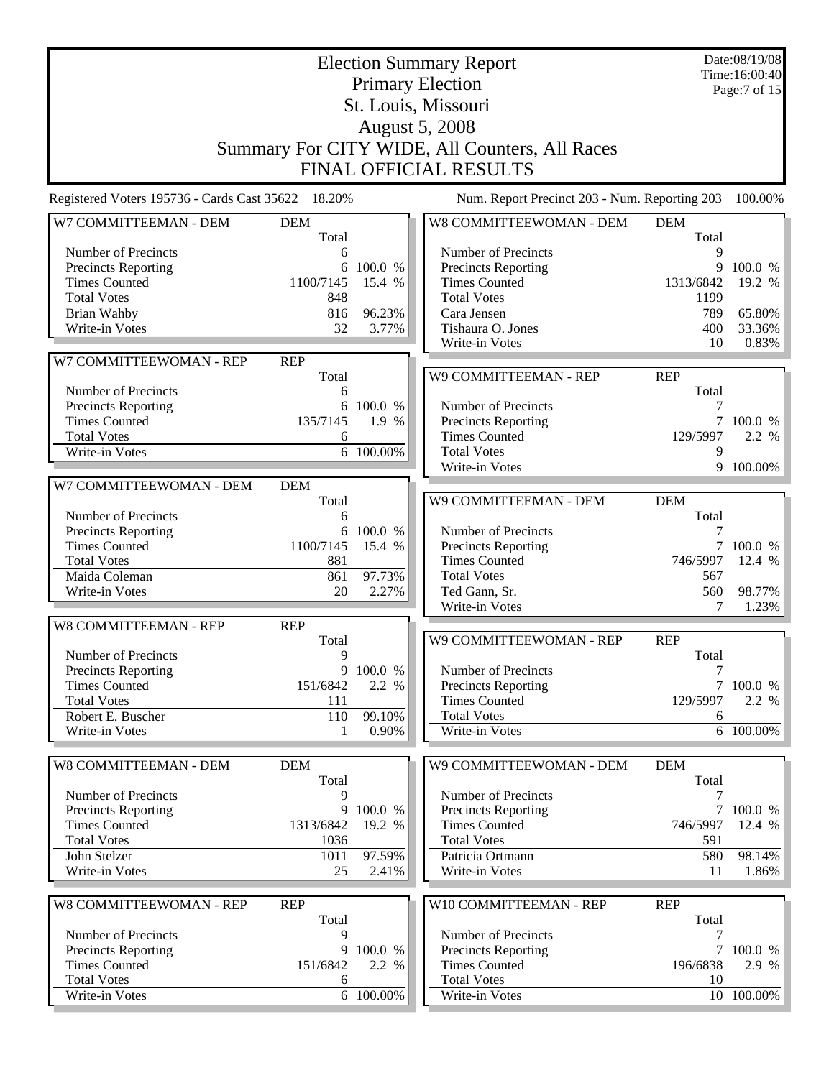|                                                    | Date:08/19/08<br><b>Election Summary Report</b><br>Time:16:00:40 |                 |                                               |                           |                 |  |  |  |  |
|----------------------------------------------------|------------------------------------------------------------------|-----------------|-----------------------------------------------|---------------------------|-----------------|--|--|--|--|
|                                                    | <b>Primary Election</b><br>Page: $7 \text{ of } 15$              |                 |                                               |                           |                 |  |  |  |  |
|                                                    | St. Louis, Missouri                                              |                 |                                               |                           |                 |  |  |  |  |
|                                                    | <b>August 5, 2008</b>                                            |                 |                                               |                           |                 |  |  |  |  |
|                                                    |                                                                  |                 |                                               |                           |                 |  |  |  |  |
|                                                    | Summary For CITY WIDE, All Counters, All Races                   |                 |                                               |                           |                 |  |  |  |  |
|                                                    | FINAL OFFICIAL RESULTS                                           |                 |                                               |                           |                 |  |  |  |  |
| Registered Voters 195736 - Cards Cast 35622 18.20% |                                                                  |                 | Num. Report Precinct 203 - Num. Reporting 203 |                           | 100.00%         |  |  |  |  |
| W7 COMMITTEEMAN - DEM                              | <b>DEM</b><br>Total                                              |                 | W8 COMMITTEEWOMAN - DEM                       | <b>DEM</b><br>Total       |                 |  |  |  |  |
| Number of Precincts                                | 6                                                                |                 | Number of Precincts                           | 9                         |                 |  |  |  |  |
| Precincts Reporting                                | 6                                                                | 100.0 %         | <b>Precincts Reporting</b>                    | 9                         | 100.0 %         |  |  |  |  |
| <b>Times Counted</b>                               | 1100/7145                                                        | 15.4 %          | <b>Times Counted</b>                          | 1313/6842                 | 19.2 %          |  |  |  |  |
| <b>Total Votes</b>                                 | 848                                                              |                 | <b>Total Votes</b>                            | 1199                      |                 |  |  |  |  |
| Brian Wahby                                        | 816                                                              | 96.23%          | Cara Jensen                                   | 789                       | 65.80%          |  |  |  |  |
| Write-in Votes                                     | 32                                                               | 3.77%           | Tishaura O. Jones                             | 400                       | 33.36%          |  |  |  |  |
|                                                    |                                                                  |                 | Write-in Votes                                | 10                        | 0.83%           |  |  |  |  |
| W7 COMMITTEEWOMAN - REP                            | <b>REP</b>                                                       |                 |                                               |                           |                 |  |  |  |  |
|                                                    | Total                                                            |                 | W9 COMMITTEEMAN - REP                         | <b>REP</b>                |                 |  |  |  |  |
| Number of Precincts<br>Precincts Reporting         | 6<br>6                                                           | 100.0 %         | Number of Precincts                           | Total<br>7                |                 |  |  |  |  |
| <b>Times Counted</b>                               | 135/7145                                                         | 1.9 %           | Precincts Reporting                           |                           | 7 100.0 %       |  |  |  |  |
| <b>Total Votes</b>                                 | 6                                                                |                 | <b>Times Counted</b>                          | 129/5997                  | 2.2 %           |  |  |  |  |
| Write-in Votes                                     |                                                                  | 6 100.00%       | <b>Total Votes</b>                            | 9                         |                 |  |  |  |  |
|                                                    |                                                                  |                 | Write-in Votes                                |                           | 9 100.00%       |  |  |  |  |
| W7 COMMITTEEWOMAN - DEM                            | <b>DEM</b>                                                       |                 |                                               |                           |                 |  |  |  |  |
|                                                    | Total                                                            |                 | W9 COMMITTEEMAN - DEM                         | <b>DEM</b>                |                 |  |  |  |  |
| Number of Precincts                                | 6                                                                |                 |                                               | Total                     |                 |  |  |  |  |
| Precincts Reporting                                | 6                                                                | 100.0 %         | Number of Precincts                           |                           |                 |  |  |  |  |
| <b>Times Counted</b>                               | 1100/7145                                                        | 15.4 %          | <b>Precincts Reporting</b>                    |                           | 7 100.0 %       |  |  |  |  |
| <b>Total Votes</b>                                 | 881                                                              |                 | <b>Times Counted</b>                          | 746/5997                  | 12.4 %          |  |  |  |  |
| Maida Coleman                                      | 861                                                              | 97.73%          | <b>Total Votes</b>                            | 567                       |                 |  |  |  |  |
| Write-in Votes                                     | 20                                                               | 2.27%           | Ted Gann, Sr.                                 | 560                       | 98.77%          |  |  |  |  |
|                                                    |                                                                  |                 | Write-in Votes                                | 7                         | 1.23%           |  |  |  |  |
| <b>W8 COMMITTEEMAN - REP</b>                       | <b>REP</b>                                                       |                 |                                               |                           |                 |  |  |  |  |
|                                                    | Total<br>9                                                       |                 | W9 COMMITTEEWOMAN - REP                       | <b>REP</b>                |                 |  |  |  |  |
| Number of Precincts<br><b>Precincts Reporting</b>  |                                                                  | 9 100.0 %       | Number of Precincts                           | Total<br>$\boldsymbol{7}$ |                 |  |  |  |  |
| <b>Times Counted</b>                               | 151/6842                                                         | 2.2 %           | Precincts Reporting                           |                           | 7 100.0 %       |  |  |  |  |
| <b>Total Votes</b>                                 | 111                                                              |                 | <b>Times Counted</b>                          | 129/5997                  | 2.2 %           |  |  |  |  |
| Robert E. Buscher                                  | 110                                                              | 99.10%          | <b>Total Votes</b>                            | 6                         |                 |  |  |  |  |
| Write-in Votes                                     | 1                                                                | 0.90%           | Write-in Votes                                |                           | 6 100.00%       |  |  |  |  |
|                                                    |                                                                  |                 |                                               |                           |                 |  |  |  |  |
| W8 COMMITTEEMAN - DEM                              | <b>DEM</b>                                                       |                 | W9 COMMITTEEWOMAN - DEM                       | <b>DEM</b>                |                 |  |  |  |  |
|                                                    | Total                                                            |                 |                                               | Total                     |                 |  |  |  |  |
| Number of Precincts                                | 9                                                                |                 | Number of Precincts                           | 7                         |                 |  |  |  |  |
| Precincts Reporting                                | 9                                                                | 100.0 %         | Precincts Reporting                           | $\tau$                    | 100.0 %         |  |  |  |  |
| <b>Times Counted</b>                               | 1313/6842                                                        | 19.2 %          | <b>Times Counted</b>                          | 746/5997                  | 12.4 %          |  |  |  |  |
| <b>Total Votes</b>                                 | 1036                                                             |                 | <b>Total Votes</b>                            | 591                       |                 |  |  |  |  |
| John Stelzer<br>Write-in Votes                     | 1011<br>25                                                       | 97.59%<br>2.41% | Patricia Ortmann<br>Write-in Votes            | 580<br>11                 | 98.14%<br>1.86% |  |  |  |  |
|                                                    |                                                                  |                 |                                               |                           |                 |  |  |  |  |
| W8 COMMITTEEWOMAN - REP                            | <b>REP</b>                                                       |                 | W10 COMMITTEEMAN - REP                        | <b>REP</b>                |                 |  |  |  |  |
|                                                    | Total                                                            |                 |                                               | Total                     |                 |  |  |  |  |
| Number of Precincts                                | 9                                                                |                 | Number of Precincts                           | 7                         |                 |  |  |  |  |
| <b>Precincts Reporting</b>                         | 9                                                                | 100.0 %         | Precincts Reporting                           |                           | 7 100.0 %       |  |  |  |  |
| <b>Times Counted</b>                               | 151/6842                                                         | 2.2 %           | <b>Times Counted</b>                          | 196/6838                  | 2.9 %           |  |  |  |  |
| <b>Total Votes</b>                                 | 6                                                                |                 | <b>Total Votes</b>                            | 10                        |                 |  |  |  |  |
| Write-in Votes                                     |                                                                  | 6 100.00%       | Write-in Votes                                |                           | 10 100.00%      |  |  |  |  |
|                                                    |                                                                  |                 |                                               |                           |                 |  |  |  |  |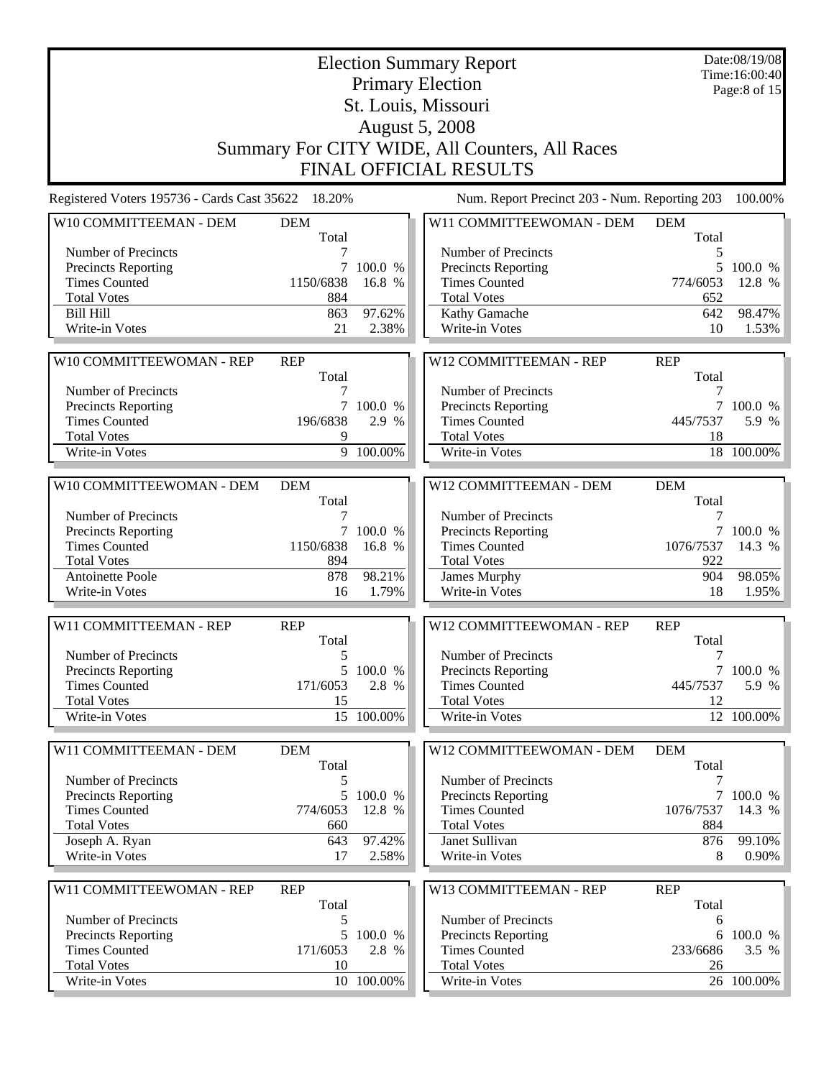|                                                    |                               |                 | Date:08/19/08<br><b>Election Summary Report</b><br>Time:16:00:40<br><b>Primary Election</b> |                     |                 |  |  |  |  |
|----------------------------------------------------|-------------------------------|-----------------|---------------------------------------------------------------------------------------------|---------------------|-----------------|--|--|--|--|
|                                                    |                               | Page:8 of $15$  |                                                                                             |                     |                 |  |  |  |  |
|                                                    |                               |                 | St. Louis, Missouri                                                                         |                     |                 |  |  |  |  |
|                                                    |                               |                 | <b>August 5, 2008</b>                                                                       |                     |                 |  |  |  |  |
|                                                    |                               |                 | Summary For CITY WIDE, All Counters, All Races                                              |                     |                 |  |  |  |  |
|                                                    | <b>FINAL OFFICIAL RESULTS</b> |                 |                                                                                             |                     |                 |  |  |  |  |
| Registered Voters 195736 - Cards Cast 35622 18.20% |                               |                 | Num. Report Precinct 203 - Num. Reporting 203                                               |                     | 100.00%         |  |  |  |  |
| W10 COMMITTEEMAN - DEM                             | <b>DEM</b><br>Total           |                 | W11 COMMITTEEWOMAN - DEM                                                                    | <b>DEM</b><br>Total |                 |  |  |  |  |
| Number of Precincts                                |                               |                 | Number of Precincts                                                                         | 5                   |                 |  |  |  |  |
| <b>Precincts Reporting</b>                         | 7                             | 100.0 %         | Precincts Reporting                                                                         | 5                   | 100.0 %         |  |  |  |  |
| <b>Times Counted</b>                               | 1150/6838                     | 16.8 %          | <b>Times Counted</b>                                                                        | 774/6053            | 12.8 %          |  |  |  |  |
| <b>Total Votes</b>                                 | 884                           |                 | <b>Total Votes</b>                                                                          | 652                 |                 |  |  |  |  |
| <b>Bill Hill</b><br>Write-in Votes                 | 863<br>21                     | 97.62%<br>2.38% | Kathy Gamache<br>Write-in Votes                                                             | 642<br>10           | 98.47%<br>1.53% |  |  |  |  |
|                                                    |                               |                 |                                                                                             |                     |                 |  |  |  |  |
| W10 COMMITTEEWOMAN - REP                           | <b>REP</b>                    |                 | W12 COMMITTEEMAN - REP                                                                      | <b>REP</b>          |                 |  |  |  |  |
|                                                    | Total                         |                 |                                                                                             | Total               |                 |  |  |  |  |
| Number of Precincts                                | 7                             |                 | Number of Precincts                                                                         | 7                   |                 |  |  |  |  |
| <b>Precincts Reporting</b>                         |                               | 7 100.0 %       | Precincts Reporting                                                                         |                     | 7 100.0 %       |  |  |  |  |
| <b>Times Counted</b><br><b>Total Votes</b>         | 196/6838<br>9                 | 2.9 %           | <b>Times Counted</b><br><b>Total Votes</b>                                                  | 445/7537<br>18      | 5.9 %           |  |  |  |  |
| Write-in Votes                                     |                               | 9 100.00%       | Write-in Votes                                                                              |                     | 18 100.00%      |  |  |  |  |
|                                                    |                               |                 |                                                                                             |                     |                 |  |  |  |  |
| W10 COMMITTEEWOMAN - DEM                           | <b>DEM</b><br>Total           |                 | W12 COMMITTEEMAN - DEM                                                                      | <b>DEM</b><br>Total |                 |  |  |  |  |
| Number of Precincts                                | 7                             |                 | Number of Precincts                                                                         | 7                   |                 |  |  |  |  |
| Precincts Reporting                                |                               | 7 100.0 %       | Precincts Reporting                                                                         |                     | 7 100.0 %       |  |  |  |  |
| <b>Times Counted</b>                               | 1150/6838                     | 16.8 %          | <b>Times Counted</b>                                                                        | 1076/7537           | 14.3 %          |  |  |  |  |
| <b>Total Votes</b>                                 | 894                           |                 | <b>Total Votes</b>                                                                          | 922                 |                 |  |  |  |  |
| <b>Antoinette Poole</b>                            | 878                           | 98.21%          | James Murphy                                                                                | 904                 | 98.05%          |  |  |  |  |
| Write-in Votes                                     | 16                            | 1.79%           | Write-in Votes                                                                              | 18                  | 1.95%           |  |  |  |  |
| W11 COMMITTEEMAN - REP                             | <b>REP</b>                    |                 | W12 COMMITTEEWOMAN - REP                                                                    | <b>REP</b>          |                 |  |  |  |  |
| Number of Precincts                                | Total<br>5                    |                 | Number of Precincts                                                                         | Total<br>7          |                 |  |  |  |  |
| <b>Precincts Reporting</b>                         |                               | 5 100.0 %       | <b>Precincts Reporting</b>                                                                  |                     | 7 100.0 %       |  |  |  |  |
| <b>Times Counted</b>                               | 171/6053                      | 2.8 %           | <b>Times Counted</b>                                                                        | 445/7537            | 5.9 %           |  |  |  |  |
| <b>Total Votes</b>                                 | 15                            |                 | <b>Total Votes</b>                                                                          | 12                  |                 |  |  |  |  |
| Write-in Votes                                     |                               | 15 100.00%      | Write-in Votes                                                                              |                     | 12 100.00%      |  |  |  |  |
|                                                    |                               |                 |                                                                                             |                     |                 |  |  |  |  |
| W11 COMMITTEEMAN - DEM                             | <b>DEM</b><br>Total           |                 | W12 COMMITTEEWOMAN - DEM                                                                    | <b>DEM</b><br>Total |                 |  |  |  |  |
| Number of Precincts                                |                               |                 | Number of Precincts                                                                         |                     |                 |  |  |  |  |
| <b>Precincts Reporting</b>                         | 5                             | 100.0 %         | Precincts Reporting                                                                         | $7\overline{ }$     | 100.0 %         |  |  |  |  |
| <b>Times Counted</b>                               | 774/6053                      | 12.8 %          | <b>Times Counted</b>                                                                        | 1076/7537           | 14.3 %          |  |  |  |  |
| <b>Total Votes</b>                                 | 660                           |                 | <b>Total Votes</b>                                                                          | 884                 |                 |  |  |  |  |
| Joseph A. Ryan<br>Write-in Votes                   | 643<br>17                     | 97.42%<br>2.58% | Janet Sullivan<br>Write-in Votes                                                            | 876<br>8            | 99.10%<br>0.90% |  |  |  |  |
|                                                    |                               |                 |                                                                                             |                     |                 |  |  |  |  |
| W11 COMMITTEEWOMAN - REP                           | <b>REP</b>                    |                 | W13 COMMITTEEMAN - REP                                                                      | <b>REP</b>          |                 |  |  |  |  |
|                                                    | Total                         |                 |                                                                                             | Total               |                 |  |  |  |  |
| Number of Precincts<br><b>Precincts Reporting</b>  | 5                             | 5 100.0 %       | Number of Precincts<br><b>Precincts Reporting</b>                                           | 6                   | 6 100.0 %       |  |  |  |  |
| <b>Times Counted</b>                               | 171/6053                      | 2.8 %           | <b>Times Counted</b>                                                                        | 233/6686            | 3.5 %           |  |  |  |  |
| <b>Total Votes</b>                                 | 10                            |                 | <b>Total Votes</b>                                                                          | 26                  |                 |  |  |  |  |
| Write-in Votes                                     |                               | 10 100.00%      | Write-in Votes                                                                              |                     | 26 100.00%      |  |  |  |  |
|                                                    |                               |                 |                                                                                             |                     |                 |  |  |  |  |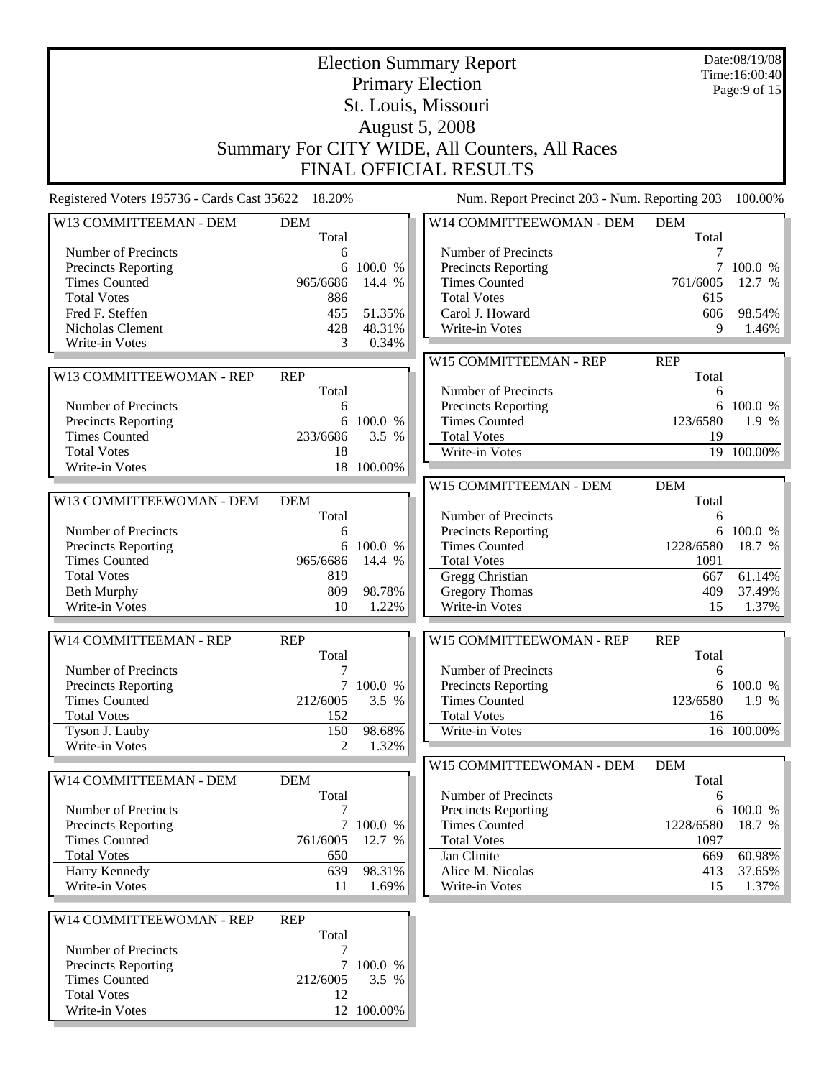|                                                    | <b>Election Summary Report</b> |                     |                                                |                   |                               |  |
|----------------------------------------------------|--------------------------------|---------------------|------------------------------------------------|-------------------|-------------------------------|--|
|                                                    |                                |                     | <b>Primary Election</b>                        |                   | Time:16:00:40<br>Page:9 of 15 |  |
|                                                    |                                |                     | St. Louis, Missouri                            |                   |                               |  |
|                                                    |                                |                     | <b>August 5, 2008</b>                          |                   |                               |  |
|                                                    |                                |                     | Summary For CITY WIDE, All Counters, All Races |                   |                               |  |
|                                                    |                                |                     |                                                |                   |                               |  |
|                                                    |                                |                     | <b>FINAL OFFICIAL RESULTS</b>                  |                   |                               |  |
| Registered Voters 195736 - Cards Cast 35622 18.20% |                                |                     | Num. Report Precinct 203 - Num. Reporting 203  |                   | 100.00%                       |  |
| W13 COMMITTEEMAN - DEM                             | <b>DEM</b>                     |                     | W14 COMMITTEEWOMAN - DEM                       | <b>DEM</b>        |                               |  |
| Number of Precincts                                | Total<br>6                     |                     | Number of Precincts                            | Total<br>7        |                               |  |
| Precincts Reporting                                | 6                              | 100.0 %             | Precincts Reporting                            | 7                 | 100.0 %                       |  |
| <b>Times Counted</b>                               | 965/6686                       | 14.4 %              | <b>Times Counted</b>                           | 761/6005          | 12.7 %                        |  |
| <b>Total Votes</b>                                 | 886                            |                     | <b>Total Votes</b>                             | 615               |                               |  |
| Fred F. Steffen                                    | 455                            | 51.35%              | Carol J. Howard                                | 606               | 98.54%                        |  |
| Nicholas Clement                                   | 428                            | 48.31%              | Write-in Votes                                 | 9                 | 1.46%                         |  |
| Write-in Votes                                     | 3                              | 0.34%               |                                                |                   |                               |  |
|                                                    |                                |                     | W15 COMMITTEEMAN - REP                         | <b>REP</b>        |                               |  |
| W13 COMMITTEEWOMAN - REP                           | <b>REP</b>                     |                     |                                                | Total             |                               |  |
|                                                    | Total                          |                     | Number of Precincts                            | 6                 |                               |  |
| Number of Precincts                                | 6                              |                     | Precincts Reporting                            | 6                 | 100.0 %                       |  |
| <b>Precincts Reporting</b>                         | 6                              | 100.0 %             | <b>Times Counted</b>                           | 123/6580          | 1.9 %                         |  |
| <b>Times Counted</b>                               | 233/6686                       | 3.5 %               | <b>Total Votes</b>                             | 19                |                               |  |
| <b>Total Votes</b>                                 | 18                             |                     | Write-in Votes                                 |                   | 19 100.00%                    |  |
| Write-in Votes                                     |                                | 18 100.00%          |                                                |                   |                               |  |
|                                                    |                                |                     | W15 COMMITTEEMAN - DEM                         | <b>DEM</b>        |                               |  |
| W13 COMMITTEEWOMAN - DEM                           | <b>DEM</b>                     |                     |                                                | Total             |                               |  |
|                                                    | Total                          |                     | Number of Precincts                            | 6                 |                               |  |
| Number of Precincts                                | 6<br>6                         | 100.0 %             | Precincts Reporting<br><b>Times Counted</b>    | 1228/6580         | 6 100.0 %<br>18.7 %           |  |
| Precincts Reporting<br><b>Times Counted</b>        | 965/6686                       | 14.4 %              | <b>Total Votes</b>                             | 1091              |                               |  |
| <b>Total Votes</b>                                 | 819                            |                     | Gregg Christian                                | 667               | 61.14%                        |  |
| <b>Beth Murphy</b>                                 | 809                            | 98.78%              | <b>Gregory Thomas</b>                          | 409               | 37.49%                        |  |
| Write-in Votes                                     | 10                             | 1.22%               | Write-in Votes                                 | 15                | 1.37%                         |  |
|                                                    |                                |                     |                                                |                   |                               |  |
| W14 COMMITTEEMAN - REP                             | <b>REP</b>                     |                     | W15 COMMITTEEWOMAN - REP                       | <b>REP</b>        |                               |  |
|                                                    | Total                          |                     |                                                | Total             |                               |  |
| Number of Precincts                                | $\tau$                         |                     | Number of Precincts                            | 6                 |                               |  |
| Precincts Reporting                                |                                | 7 100.0 %           | <b>Precincts Reporting</b>                     |                   | 6 100.0 %                     |  |
| <b>Times Counted</b>                               | 212/6005                       | 3.5 %               | <b>Times Counted</b>                           | 123/6580          | 1.9 %                         |  |
| <b>Total Votes</b>                                 | 152                            |                     | <b>Total Votes</b>                             | 16                |                               |  |
| Tyson J. Lauby                                     | 150                            | 98.68%              | Write-in Votes                                 |                   | 16 100.00%                    |  |
| <b>Write-in Votes</b>                              | 2                              | 1.32%               |                                                |                   |                               |  |
|                                                    |                                |                     | W15 COMMITTEEWOMAN - DEM                       | <b>DEM</b>        |                               |  |
| W14 COMMITTEEMAN - DEM                             | <b>DEM</b>                     |                     |                                                | Total             |                               |  |
|                                                    | Total                          |                     | Number of Precincts                            | 6                 |                               |  |
| Number of Precincts                                | 7                              |                     | Precincts Reporting                            | 6                 | 100.0 %                       |  |
| Precincts Reporting<br><b>Times Counted</b>        | 761/6005                       | 7 100.0 %<br>12.7 % | <b>Times Counted</b><br><b>Total Votes</b>     | 1228/6580<br>1097 | 18.7 %                        |  |
| <b>Total Votes</b>                                 | 650                            |                     | Jan Clinite                                    | 669               | 60.98%                        |  |
| Harry Kennedy                                      | 639                            | 98.31%              | Alice M. Nicolas                               | 413               | 37.65%                        |  |
| Write-in Votes                                     | 11                             | 1.69%               | Write-in Votes                                 | 15                | 1.37%                         |  |
|                                                    |                                |                     |                                                |                   |                               |  |
| W14 COMMITTEEWOMAN - REP                           | <b>REP</b>                     |                     |                                                |                   |                               |  |
| Number of Precincts                                | Total<br>7                     |                     |                                                |                   |                               |  |
| Precincts Reporting                                | 7                              | 100.0 %             |                                                |                   |                               |  |
| <b>Times Counted</b>                               | 212/6005                       | 3.5 %               |                                                |                   |                               |  |
| <b>Total Votes</b>                                 | 12                             |                     |                                                |                   |                               |  |
| Write-in Votes                                     |                                | 12 100.00%          |                                                |                   |                               |  |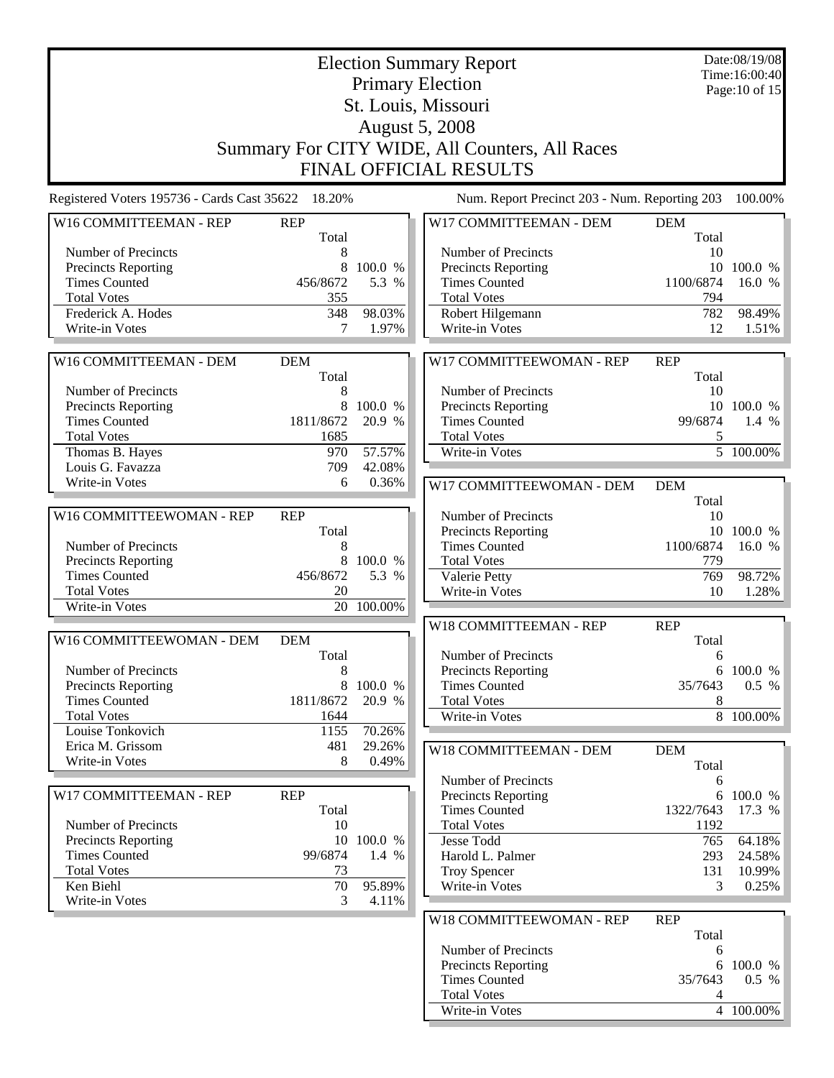|                                                    | Date:08/19/08<br><b>Election Summary Report</b> |                  |                                                    |                 |                                 |  |
|----------------------------------------------------|-------------------------------------------------|------------------|----------------------------------------------------|-----------------|---------------------------------|--|
|                                                    |                                                 |                  | <b>Primary Election</b>                            |                 | Time:16:00:40<br>Page: 10 of 15 |  |
|                                                    |                                                 |                  | St. Louis, Missouri                                |                 |                                 |  |
|                                                    |                                                 |                  | <b>August 5, 2008</b>                              |                 |                                 |  |
|                                                    |                                                 |                  | Summary For CITY WIDE, All Counters, All Races     |                 |                                 |  |
|                                                    |                                                 |                  |                                                    |                 |                                 |  |
|                                                    |                                                 |                  | <b>FINAL OFFICIAL RESULTS</b>                      |                 |                                 |  |
| Registered Voters 195736 - Cards Cast 35622 18.20% |                                                 |                  | Num. Report Precinct 203 - Num. Reporting 203      |                 | 100.00%                         |  |
| W16 COMMITTEEMAN - REP                             | <b>REP</b>                                      |                  | W17 COMMITTEEMAN - DEM                             | <b>DEM</b>      |                                 |  |
|                                                    | Total                                           |                  |                                                    | Total           |                                 |  |
| Number of Precincts                                | 8                                               |                  | Number of Precincts                                | 10              |                                 |  |
| Precincts Reporting<br><b>Times Counted</b>        | 8<br>456/8672                                   | 100.0 %<br>5.3 % | Precincts Reporting<br><b>Times Counted</b>        | 10<br>1100/6874 | 100.0 %<br>16.0 %               |  |
| <b>Total Votes</b>                                 | 355                                             |                  | <b>Total Votes</b>                                 | 794             |                                 |  |
| Frederick A. Hodes                                 | 348                                             | 98.03%           | Robert Hilgemann                                   | 782             | 98.49%                          |  |
| Write-in Votes                                     | 7                                               | 1.97%            | Write-in Votes                                     | 12              | 1.51%                           |  |
|                                                    |                                                 |                  |                                                    |                 |                                 |  |
| W16 COMMITTEEMAN - DEM                             | <b>DEM</b>                                      |                  | W17 COMMITTEEWOMAN - REP                           | <b>REP</b>      |                                 |  |
|                                                    | Total                                           |                  |                                                    | Total           |                                 |  |
| Number of Precincts                                | 8                                               |                  | Number of Precincts                                | 10              |                                 |  |
| <b>Precincts Reporting</b>                         | 8                                               | 100.0 %          | Precincts Reporting                                | 10              | 100.0 %                         |  |
| <b>Times Counted</b>                               | 1811/8672                                       | 20.9 %           | <b>Times Counted</b>                               | 99/6874         | 1.4 %                           |  |
| <b>Total Votes</b>                                 | 1685                                            |                  | <b>Total Votes</b>                                 | 5               |                                 |  |
| Thomas B. Hayes                                    | 970                                             | 57.57%           | Write-in Votes                                     |                 | 5 100.00%                       |  |
| Louis G. Favazza                                   | 709                                             | 42.08%           |                                                    |                 |                                 |  |
| Write-in Votes                                     | 6                                               | 0.36%            | W17 COMMITTEEWOMAN - DEM                           | <b>DEM</b>      |                                 |  |
|                                                    |                                                 |                  |                                                    | Total           |                                 |  |
| W16 COMMITTEEWOMAN - REP                           | <b>REP</b><br>Total                             |                  | Number of Precincts                                | 10              | 10 100.0 %                      |  |
| Number of Precincts                                | 8                                               |                  | <b>Precincts Reporting</b><br><b>Times Counted</b> | 1100/6874       | 16.0 %                          |  |
| <b>Precincts Reporting</b>                         | 8                                               | 100.0 %          | <b>Total Votes</b>                                 | 779             |                                 |  |
| <b>Times Counted</b>                               | 456/8672                                        | 5.3 %            | Valerie Petty                                      | 769             | 98.72%                          |  |
| <b>Total Votes</b>                                 | 20                                              |                  | Write-in Votes                                     | 10              | 1.28%                           |  |
| Write-in Votes                                     | 20                                              | 100.00%          |                                                    |                 |                                 |  |
|                                                    |                                                 |                  | W18 COMMITTEEMAN - REP                             | <b>REP</b>      |                                 |  |
| W16 COMMITTEEWOMAN - DEM                           | <b>DEM</b>                                      |                  |                                                    | Total           |                                 |  |
|                                                    | Total                                           |                  | Number of Precincts                                | 6               |                                 |  |
| Number of Precincts                                | 8                                               |                  | Precincts Reporting                                |                 | 6 100.0 %                       |  |
| Precincts Reporting                                | 8                                               | 100.0 %          | <b>Times Counted</b>                               | 35/7643         | 0.5 %                           |  |
| <b>Times Counted</b>                               | 1811/8672                                       | 20.9 %           | <b>Total Votes</b>                                 | 8               |                                 |  |
| <b>Total Votes</b>                                 | 1644                                            |                  | Write-in Votes                                     |                 | 8 100.00%                       |  |
| Louise Tonkovich                                   | 1155                                            | 70.26%           |                                                    |                 |                                 |  |
| Erica M. Grissom<br>Write-in Votes                 | 481<br>8                                        | 29.26%<br>0.49%  | W18 COMMITTEEMAN - DEM                             | <b>DEM</b>      |                                 |  |
|                                                    |                                                 |                  |                                                    | Total           |                                 |  |
|                                                    |                                                 |                  | Number of Precincts                                | 6               |                                 |  |
| W17 COMMITTEEMAN - REP                             | <b>REP</b><br>Total                             |                  | Precincts Reporting<br><b>Times Counted</b>        | 1322/7643       | 6 100.0 %<br>17.3 %             |  |
| Number of Precincts                                | 10                                              |                  | <b>Total Votes</b>                                 | 1192            |                                 |  |
| Precincts Reporting                                | 10                                              | 100.0 %          | Jesse Todd                                         | 765             | 64.18%                          |  |
| <b>Times Counted</b>                               | 99/6874                                         | 1.4 %            | Harold L. Palmer                                   | 293             | 24.58%                          |  |
| <b>Total Votes</b>                                 | 73                                              |                  | <b>Troy Spencer</b>                                | 131             | 10.99%                          |  |
| Ken Biehl                                          | 70                                              | 95.89%           | Write-in Votes                                     | 3               | 0.25%                           |  |
| Write-in Votes                                     | 3                                               | 4.11%            |                                                    |                 |                                 |  |
|                                                    |                                                 |                  | W18 COMMITTEEWOMAN - REP                           | <b>REP</b>      |                                 |  |
|                                                    |                                                 |                  |                                                    | Total           |                                 |  |
|                                                    |                                                 |                  | Number of Precincts                                | 6               |                                 |  |
|                                                    |                                                 |                  | Precincts Reporting                                | 6               | 100.0 %                         |  |
|                                                    |                                                 |                  | <b>Times Counted</b>                               | 35/7643         | $0.5\%$                         |  |
|                                                    |                                                 |                  | <b>Total Votes</b>                                 | 4               |                                 |  |
|                                                    |                                                 |                  | Write-in Votes                                     |                 | 4 100.00%                       |  |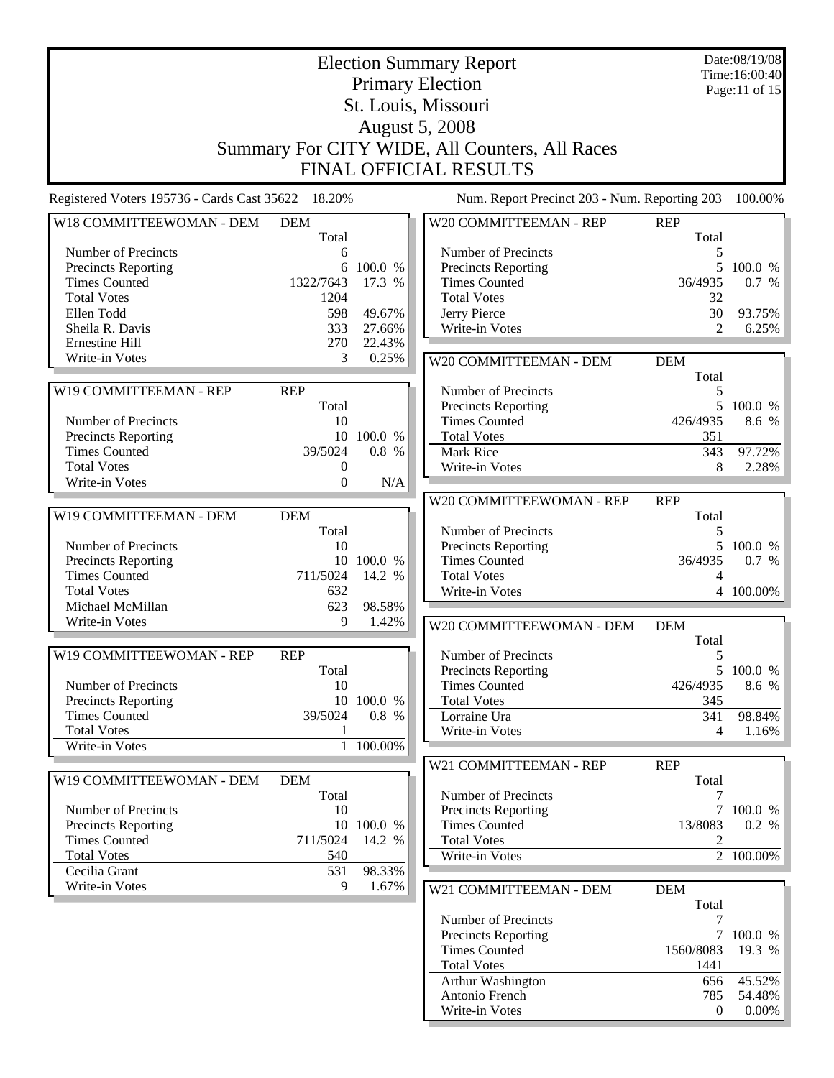| <b>Election Summary Report</b><br><b>Primary Election</b><br>St. Louis, Missouri |                  |            |                                                    |                | Date:08/19/08<br>Time:16:00:40<br>Page:11 of 15 |
|----------------------------------------------------------------------------------|------------------|------------|----------------------------------------------------|----------------|-------------------------------------------------|
|                                                                                  |                  |            | <b>August 5, 2008</b>                              |                |                                                 |
|                                                                                  |                  |            | Summary For CITY WIDE, All Counters, All Races     |                |                                                 |
|                                                                                  |                  |            | <b>FINAL OFFICIAL RESULTS</b>                      |                |                                                 |
| Registered Voters 195736 - Cards Cast 35622 18.20%                               |                  |            | Num. Report Precinct 203 - Num. Reporting 203      |                | 100.00%                                         |
| W18 COMMITTEEWOMAN - DEM                                                         | <b>DEM</b>       |            | W20 COMMITTEEMAN - REP                             | <b>REP</b>     |                                                 |
|                                                                                  | Total            |            |                                                    | Total          |                                                 |
| Number of Precincts                                                              | 6                |            | Number of Precincts                                | 5              |                                                 |
| Precincts Reporting                                                              | 6                | 100.0 %    | <b>Precincts Reporting</b>                         | 5              | 100.0 %                                         |
| <b>Times Counted</b>                                                             | 1322/7643        | 17.3 %     | <b>Times Counted</b>                               | 36/4935        | 0.7 %                                           |
| <b>Total Votes</b><br>Ellen Todd                                                 | 1204<br>598      | 49.67%     | <b>Total Votes</b><br>Jerry Pierce                 | 32<br>30       | 93.75%                                          |
| Sheila R. Davis                                                                  | 333              | 27.66%     | Write-in Votes                                     | 2              | 6.25%                                           |
| Ernestine Hill                                                                   | 270              | 22.43%     |                                                    |                |                                                 |
| Write-in Votes                                                                   | 3                | 0.25%      | W20 COMMITTEEMAN - DEM                             | <b>DEM</b>     |                                                 |
|                                                                                  |                  |            |                                                    | Total          |                                                 |
| W19 COMMITTEEMAN - REP                                                           | <b>REP</b>       |            | Number of Precincts                                | 5              |                                                 |
|                                                                                  | Total            |            | Precincts Reporting                                |                | 5 100.0 %                                       |
| Number of Precincts                                                              | 10               |            | <b>Times Counted</b>                               | 426/4935       | 8.6 %                                           |
| Precincts Reporting                                                              |                  | 10 100.0 % | <b>Total Votes</b>                                 | 351            |                                                 |
| <b>Times Counted</b>                                                             | 39/5024          | 0.8 %      | Mark Rice                                          | 343            | 97.72%                                          |
| <b>Total Votes</b>                                                               | $\boldsymbol{0}$ |            | Write-in Votes                                     | 8              | 2.28%                                           |
| Write-in Votes                                                                   | $\boldsymbol{0}$ | N/A        |                                                    |                |                                                 |
|                                                                                  |                  |            | W20 COMMITTEEWOMAN - REP                           | <b>REP</b>     |                                                 |
| W19 COMMITTEEMAN - DEM                                                           | <b>DEM</b>       |            |                                                    | Total          |                                                 |
|                                                                                  | Total            |            | Number of Precincts                                | 5              |                                                 |
| Number of Precincts<br><b>Precincts Reporting</b>                                | 10               | 10 100.0 % | <b>Precincts Reporting</b><br><b>Times Counted</b> | 5<br>36/4935   | 100.0 %<br>0.7 %                                |
| <b>Times Counted</b>                                                             | 711/5024         | 14.2 %     | <b>Total Votes</b>                                 | 4              |                                                 |
| <b>Total Votes</b>                                                               | 632              |            | Write-in Votes                                     |                | 4 100.00%                                       |
| Michael McMillan                                                                 | 623              | 98.58%     |                                                    |                |                                                 |
| Write-in Votes                                                                   | 9                | 1.42%      | W20 COMMITTEEWOMAN - DEM                           | <b>DEM</b>     |                                                 |
|                                                                                  |                  |            |                                                    | Total          |                                                 |
| W19 COMMITTEEWOMAN - REP                                                         | <b>REP</b>       |            | Number of Precincts                                | 5              |                                                 |
|                                                                                  | Total            |            | <b>Precincts Reporting</b>                         |                | 5 100.0 %                                       |
| Number of Precincts                                                              | 10               |            | <b>Times Counted</b>                               | 426/4935       | 8.6 %                                           |
| <b>Precincts Reporting</b>                                                       | 10               | 100.0 %    | <b>Total Votes</b>                                 | 345            |                                                 |
| <b>Times Counted</b>                                                             | 39/5024          | 0.8 %      | Lorraine Ura                                       | 341            | 98.84%                                          |
| <b>Total Votes</b>                                                               | 1                |            | Write-in Votes                                     | 4              | 1.16%                                           |
| Write-in Votes                                                                   | $\mathbf{1}$     | 100.00%    |                                                    |                |                                                 |
|                                                                                  |                  |            | W21 COMMITTEEMAN - REP                             | <b>REP</b>     |                                                 |
| W19 COMMITTEEWOMAN - DEM                                                         | <b>DEM</b>       |            | Number of Precincts                                | Total          |                                                 |
| Number of Precincts                                                              | Total<br>10      |            | Precincts Reporting                                | 7              | 7 100.0 %                                       |
| <b>Precincts Reporting</b>                                                       |                  | 10 100.0 % | <b>Times Counted</b>                               | 13/8083        | 0.2 %                                           |
| <b>Times Counted</b>                                                             | 711/5024         | 14.2 %     | <b>Total Votes</b>                                 | 2              |                                                 |
| <b>Total Votes</b>                                                               | 540              |            | Write-in Votes                                     |                | 2 100.00%                                       |
| Cecilia Grant                                                                    | 531              | 98.33%     |                                                    |                |                                                 |
| Write-in Votes                                                                   | 9                | 1.67%      | W21 COMMITTEEMAN - DEM                             | <b>DEM</b>     |                                                 |
|                                                                                  |                  |            |                                                    | Total          |                                                 |
|                                                                                  |                  |            | Number of Precincts                                | 7              |                                                 |
|                                                                                  |                  |            | <b>Precincts Reporting</b>                         | $\tau$         | 100.0 %                                         |
|                                                                                  |                  |            | <b>Times Counted</b>                               | 1560/8083      | 19.3 %                                          |
|                                                                                  |                  |            | <b>Total Votes</b>                                 | 1441           |                                                 |
|                                                                                  |                  |            | Arthur Washington                                  | 656            | 45.52%                                          |
|                                                                                  |                  |            | Antonio French                                     | 785            | 54.48%                                          |
|                                                                                  |                  |            | Write-in Votes                                     | $\overline{0}$ | $0.00\%$                                        |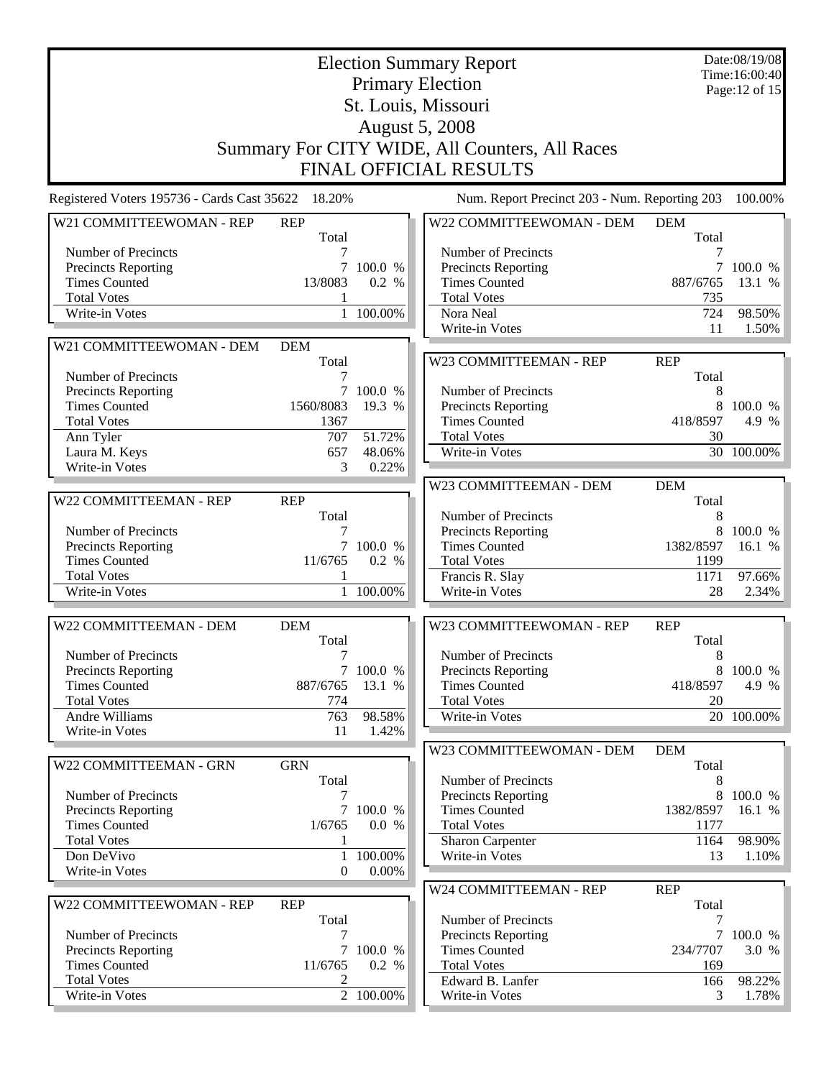|                                                    | Date:08/19/08<br><b>Election Summary Report</b><br>Time:16:00:40 |                        |                                               |                     |                 |  |  |  |
|----------------------------------------------------|------------------------------------------------------------------|------------------------|-----------------------------------------------|---------------------|-----------------|--|--|--|
|                                                    |                                                                  |                        | <b>Primary Election</b>                       |                     | Page: 12 of 15  |  |  |  |
|                                                    |                                                                  |                        | St. Louis, Missouri                           |                     |                 |  |  |  |
|                                                    |                                                                  |                        | <b>August 5, 2008</b>                         |                     |                 |  |  |  |
|                                                    |                                                                  |                        |                                               |                     |                 |  |  |  |
|                                                    | Summary For CITY WIDE, All Counters, All Races                   |                        |                                               |                     |                 |  |  |  |
|                                                    |                                                                  |                        | <b>FINAL OFFICIAL RESULTS</b>                 |                     |                 |  |  |  |
| Registered Voters 195736 - Cards Cast 35622 18.20% |                                                                  |                        | Num. Report Precinct 203 - Num. Reporting 203 |                     | 100.00%         |  |  |  |
| W21 COMMITTEEWOMAN - REP                           | <b>REP</b><br>Total                                              |                        | W22 COMMITTEEWOMAN - DEM                      | <b>DEM</b><br>Total |                 |  |  |  |
| Number of Precincts                                |                                                                  |                        | Number of Precincts                           |                     |                 |  |  |  |
| <b>Precincts Reporting</b>                         | $\tau$                                                           | 100.0 %                | <b>Precincts Reporting</b>                    | $\tau$              | 100.0 %         |  |  |  |
| <b>Times Counted</b>                               | 13/8083                                                          | 0.2 %                  | <b>Times Counted</b>                          | 887/6765            | 13.1 %          |  |  |  |
| <b>Total Votes</b>                                 | 1                                                                |                        | <b>Total Votes</b>                            | 735                 |                 |  |  |  |
| Write-in Votes                                     |                                                                  | 1 100.00%              | Nora Neal                                     | 724                 | 98.50%          |  |  |  |
|                                                    |                                                                  |                        | Write-in Votes                                | 11                  | 1.50%           |  |  |  |
| W21 COMMITTEEWOMAN - DEM                           | <b>DEM</b>                                                       |                        |                                               |                     |                 |  |  |  |
|                                                    | Total                                                            |                        | W23 COMMITTEEMAN - REP                        | <b>REP</b>          |                 |  |  |  |
| Number of Precincts                                | 7                                                                | 7 100.0 %              | Number of Precincts                           | Total<br>8          |                 |  |  |  |
| <b>Precincts Reporting</b><br><b>Times Counted</b> | 1560/8083                                                        | 19.3 %                 | <b>Precincts Reporting</b>                    | 8                   | 100.0 %         |  |  |  |
| <b>Total Votes</b>                                 | 1367                                                             |                        | <b>Times Counted</b>                          | 418/8597            | 4.9 %           |  |  |  |
| Ann Tyler                                          | 707                                                              | 51.72%                 | <b>Total Votes</b>                            | 30                  |                 |  |  |  |
| Laura M. Keys                                      | 657                                                              | 48.06%                 | Write-in Votes                                |                     | 30 100.00%      |  |  |  |
| Write-in Votes                                     | 3                                                                | 0.22%                  |                                               |                     |                 |  |  |  |
|                                                    |                                                                  |                        | W23 COMMITTEEMAN - DEM                        | <b>DEM</b>          |                 |  |  |  |
| W22 COMMITTEEMAN - REP                             | <b>REP</b>                                                       |                        |                                               | Total               |                 |  |  |  |
|                                                    | Total                                                            |                        | Number of Precincts                           | 8                   |                 |  |  |  |
| Number of Precincts                                |                                                                  |                        | Precincts Reporting                           | 8                   | 100.0 %         |  |  |  |
| <b>Precincts Reporting</b>                         |                                                                  | 7 100.0 %              | <b>Times Counted</b>                          | 1382/8597           | 16.1 %          |  |  |  |
| <b>Times Counted</b><br><b>Total Votes</b>         | 11/6765                                                          | 0.2 %                  | <b>Total Votes</b>                            | 1199                |                 |  |  |  |
| Write-in Votes                                     |                                                                  | 1 100.00%              | Francis R. Slay<br>Write-in Votes             | 1171<br>28          | 97.66%<br>2.34% |  |  |  |
|                                                    |                                                                  |                        |                                               |                     |                 |  |  |  |
| W22 COMMITTEEMAN - DEM                             | <b>DEM</b>                                                       |                        | W23 COMMITTEEWOMAN - REP                      | <b>REP</b>          |                 |  |  |  |
|                                                    | Total                                                            |                        |                                               | Total               |                 |  |  |  |
| Number of Precincts                                |                                                                  |                        | Number of Precincts                           | 8                   |                 |  |  |  |
| <b>Precincts Reporting</b>                         |                                                                  | 7 100.0 %              | <b>Precincts Reporting</b>                    |                     | 8 100.0 %       |  |  |  |
| <b>Times Counted</b><br><b>Total Votes</b>         | 887/6765                                                         | 13.1 %                 | <b>Times Counted</b><br><b>Total Votes</b>    | 418/8597<br>20      | 4.9 %           |  |  |  |
| Andre Williams                                     | 774<br>763                                                       | 98.58%                 | Write-in Votes                                |                     | 20 100.00%      |  |  |  |
| Write-in Votes                                     | 11                                                               | 1.42%                  |                                               |                     |                 |  |  |  |
|                                                    |                                                                  |                        | W23 COMMITTEEWOMAN - DEM                      | <b>DEM</b>          |                 |  |  |  |
| W22 COMMITTEEMAN - GRN                             | <b>GRN</b>                                                       |                        |                                               | Total               |                 |  |  |  |
|                                                    | Total                                                            |                        | Number of Precincts                           | 8                   |                 |  |  |  |
| Number of Precincts                                | 7                                                                |                        | <b>Precincts Reporting</b>                    | 8                   | 100.0 %         |  |  |  |
| <b>Precincts Reporting</b>                         | $\tau$                                                           | 100.0 %                | <b>Times Counted</b>                          | 1382/8597           | 16.1 %          |  |  |  |
| <b>Times Counted</b>                               | 1/6765                                                           | 0.0 %                  | <b>Total Votes</b>                            | 1177                |                 |  |  |  |
| <b>Total Votes</b>                                 | 1                                                                |                        | <b>Sharon Carpenter</b>                       | 1164                | 98.90%          |  |  |  |
| Don DeVivo                                         | $\mathbf{1}$<br>$\mathbf{0}$                                     | 100.00%<br>0.00%       | Write-in Votes                                | 13                  | 1.10%           |  |  |  |
| Write-in Votes                                     |                                                                  |                        |                                               |                     |                 |  |  |  |
| W22 COMMITTEEWOMAN - REP                           | <b>REP</b>                                                       |                        | W24 COMMITTEEMAN - REP                        | <b>REP</b><br>Total |                 |  |  |  |
|                                                    | Total                                                            |                        | Number of Precincts                           | 7                   |                 |  |  |  |
| Number of Precincts                                | 7                                                                |                        | Precincts Reporting                           | $\overline{7}$      | 100.0 %         |  |  |  |
| <b>Precincts Reporting</b>                         | $\tau$                                                           | 100.0 %                | <b>Times Counted</b>                          | 234/7707            | 3.0 %           |  |  |  |
| <b>Times Counted</b>                               | 11/6765                                                          | 0.2 %                  | <b>Total Votes</b>                            | 169                 |                 |  |  |  |
| <b>Total Votes</b>                                 | 2                                                                |                        | Edward B. Lanfer                              | 166                 | 98.22%          |  |  |  |
| Write-in Votes                                     |                                                                  | $\overline{2}$ 100.00% | Write-in Votes                                | 3                   | 1.78%           |  |  |  |
|                                                    |                                                                  |                        |                                               |                     |                 |  |  |  |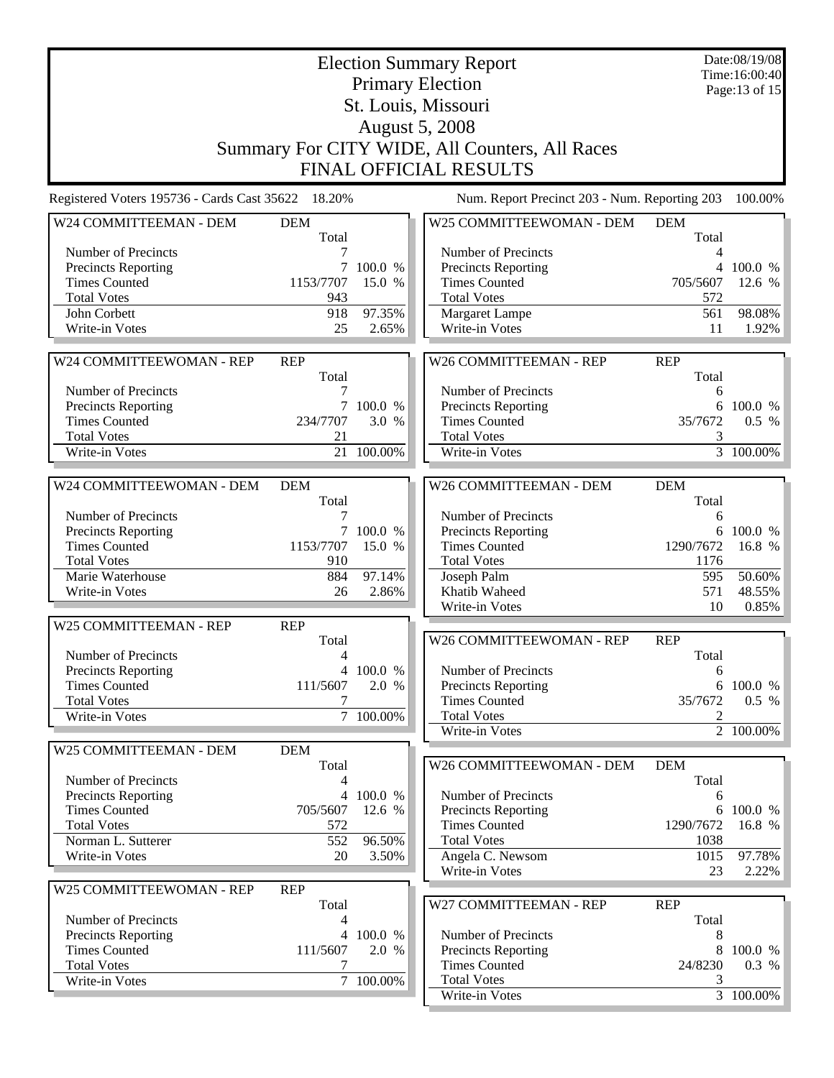| <b>Election Summary Report</b>                     |                            |                   |                                                   |                     | Date:08/19/08<br>Time:16:00:40 |  |  |  |  |  |
|----------------------------------------------------|----------------------------|-------------------|---------------------------------------------------|---------------------|--------------------------------|--|--|--|--|--|
| <b>Primary Election</b>                            |                            |                   |                                                   |                     | Page:13 of 15                  |  |  |  |  |  |
| St. Louis, Missouri                                |                            |                   |                                                   |                     |                                |  |  |  |  |  |
| <b>August 5, 2008</b>                              |                            |                   |                                                   |                     |                                |  |  |  |  |  |
|                                                    |                            |                   | Summary For CITY WIDE, All Counters, All Races    |                     |                                |  |  |  |  |  |
| <b>FINAL OFFICIAL RESULTS</b>                      |                            |                   |                                                   |                     |                                |  |  |  |  |  |
|                                                    |                            |                   |                                                   |                     |                                |  |  |  |  |  |
| Registered Voters 195736 - Cards Cast 35622 18.20% |                            |                   | Num. Report Precinct 203 - Num. Reporting 203     |                     | 100.00%                        |  |  |  |  |  |
| W24 COMMITTEEMAN - DEM                             | <b>DEM</b><br>Total        |                   | W25 COMMITTEEWOMAN - DEM                          | <b>DEM</b><br>Total |                                |  |  |  |  |  |
| Number of Precincts                                |                            |                   | Number of Precincts                               | 4                   |                                |  |  |  |  |  |
| <b>Precincts Reporting</b>                         | $\tau$                     | 100.0 %           | Precincts Reporting                               |                     | 4 100.0 %                      |  |  |  |  |  |
| <b>Times Counted</b>                               | 1153/7707                  | 15.0 %            | <b>Times Counted</b>                              | 705/5607            | 12.6 %                         |  |  |  |  |  |
| <b>Total Votes</b><br>John Corbett                 | 943<br>918                 | 97.35%            | <b>Total Votes</b><br>Margaret Lampe              | 572<br>561          | 98.08%                         |  |  |  |  |  |
| Write-in Votes                                     | 25                         | 2.65%             | Write-in Votes                                    | 11                  | 1.92%                          |  |  |  |  |  |
|                                                    |                            |                   |                                                   |                     |                                |  |  |  |  |  |
| W24 COMMITTEEWOMAN - REP                           | <b>REP</b>                 |                   | W26 COMMITTEEMAN - REP                            | <b>REP</b>          |                                |  |  |  |  |  |
|                                                    | Total                      |                   |                                                   | Total               |                                |  |  |  |  |  |
| Number of Precincts                                | 7                          |                   | Number of Precincts                               | 6                   |                                |  |  |  |  |  |
| <b>Precincts Reporting</b>                         |                            | 7 100.0 %         | Precincts Reporting                               |                     | 6 100.0 %                      |  |  |  |  |  |
| <b>Times Counted</b>                               | 234/7707                   | 3.0 %             | <b>Times Counted</b>                              | 35/7672             | $0.5\%$                        |  |  |  |  |  |
| <b>Total Votes</b>                                 | 21                         |                   | <b>Total Votes</b>                                | 3                   |                                |  |  |  |  |  |
| Write-in Votes                                     | 21                         | $100.00\%$        | Write-in Votes                                    |                     | 3 100.00%                      |  |  |  |  |  |
| W24 COMMITTEEWOMAN - DEM                           | <b>DEM</b>                 |                   | W26 COMMITTEEMAN - DEM                            | <b>DEM</b>          |                                |  |  |  |  |  |
|                                                    | Total                      |                   |                                                   | Total               |                                |  |  |  |  |  |
| Number of Precincts                                | 7                          |                   | Number of Precincts                               | 6                   |                                |  |  |  |  |  |
| Precincts Reporting                                | $7\overline{ }$            | 100.0 %           | Precincts Reporting                               | 6                   | 100.0 %                        |  |  |  |  |  |
| <b>Times Counted</b>                               | 1153/7707                  | 15.0 %            | <b>Times Counted</b>                              | 1290/7672           | 16.8 %                         |  |  |  |  |  |
| <b>Total Votes</b>                                 | 910                        |                   | <b>Total Votes</b>                                | 1176                |                                |  |  |  |  |  |
| Marie Waterhouse                                   | 884                        | 97.14%            | Joseph Palm                                       | 595                 | 50.60%                         |  |  |  |  |  |
| Write-in Votes                                     | 26                         | 2.86%             | Khatib Waheed                                     | 571                 | 48.55%                         |  |  |  |  |  |
|                                                    |                            |                   | Write-in Votes                                    | 10                  | 0.85%                          |  |  |  |  |  |
| W25 COMMITTEEMAN - REP                             | <b>REP</b>                 |                   | W26 COMMITTEEWOMAN - REP                          |                     |                                |  |  |  |  |  |
| Number of Precincts                                | Total<br>4                 |                   |                                                   | <b>REP</b><br>Total |                                |  |  |  |  |  |
| <b>Precincts Reporting</b>                         |                            | 4 100.0 %         | Number of Precincts                               | 6                   |                                |  |  |  |  |  |
| <b>Times Counted</b>                               | 111/5607                   | 2.0 %             | Precincts Reporting                               | 6                   | 100.0 %                        |  |  |  |  |  |
| <b>Total Votes</b>                                 |                            |                   | <b>Times Counted</b>                              | 35/7672             | 0.5 %                          |  |  |  |  |  |
| Write-in Votes                                     |                            | 7 100.00%         | <b>Total Votes</b>                                | $\overline{2}$      |                                |  |  |  |  |  |
|                                                    |                            |                   | Write-in Votes                                    |                     | $\boxed{2}$ 100.00%            |  |  |  |  |  |
| W25 COMMITTEEMAN - DEM                             | <b>DEM</b>                 |                   |                                                   |                     |                                |  |  |  |  |  |
|                                                    | Total                      |                   | W26 COMMITTEEWOMAN - DEM                          | <b>DEM</b>          |                                |  |  |  |  |  |
| Number of Precincts                                | 4                          |                   |                                                   | Total               |                                |  |  |  |  |  |
| Precincts Reporting<br><b>Times Counted</b>        | $\overline{4}$<br>705/5607 | 100.0 %<br>12.6 % | Number of Precincts<br><b>Precincts Reporting</b> | 6<br>6              | 100.0 %                        |  |  |  |  |  |
| <b>Total Votes</b>                                 | 572                        |                   | <b>Times Counted</b>                              | 1290/7672           | 16.8 %                         |  |  |  |  |  |
| Norman L. Sutterer                                 | 552                        | 96.50%            | <b>Total Votes</b>                                | 1038                |                                |  |  |  |  |  |
| Write-in Votes                                     | 20                         | 3.50%             | Angela C. Newsom                                  | 1015                | 97.78%                         |  |  |  |  |  |
|                                                    |                            |                   | Write-in Votes                                    | 23                  | 2.22%                          |  |  |  |  |  |
| W25 COMMITTEEWOMAN - REP                           | <b>REP</b>                 |                   |                                                   |                     |                                |  |  |  |  |  |
|                                                    | Total                      |                   | W27 COMMITTEEMAN - REP                            | <b>REP</b>          |                                |  |  |  |  |  |
| Number of Precincts                                | 4                          |                   |                                                   | Total               |                                |  |  |  |  |  |
| Precincts Reporting                                | $\overline{4}$             | 100.0 %           | Number of Precincts                               | 8                   |                                |  |  |  |  |  |
| <b>Times Counted</b>                               | 111/5607                   | 2.0 %             | Precincts Reporting                               | 8                   | 100.0 %                        |  |  |  |  |  |
| <b>Total Votes</b><br>Write-in Votes               | 7                          | 7 100.00%         | <b>Times Counted</b><br><b>Total Votes</b>        | 24/8230<br>3        | 0.3 %                          |  |  |  |  |  |
|                                                    |                            |                   | Write-in Votes                                    |                     | 3 100.00%                      |  |  |  |  |  |
|                                                    |                            |                   |                                                   |                     |                                |  |  |  |  |  |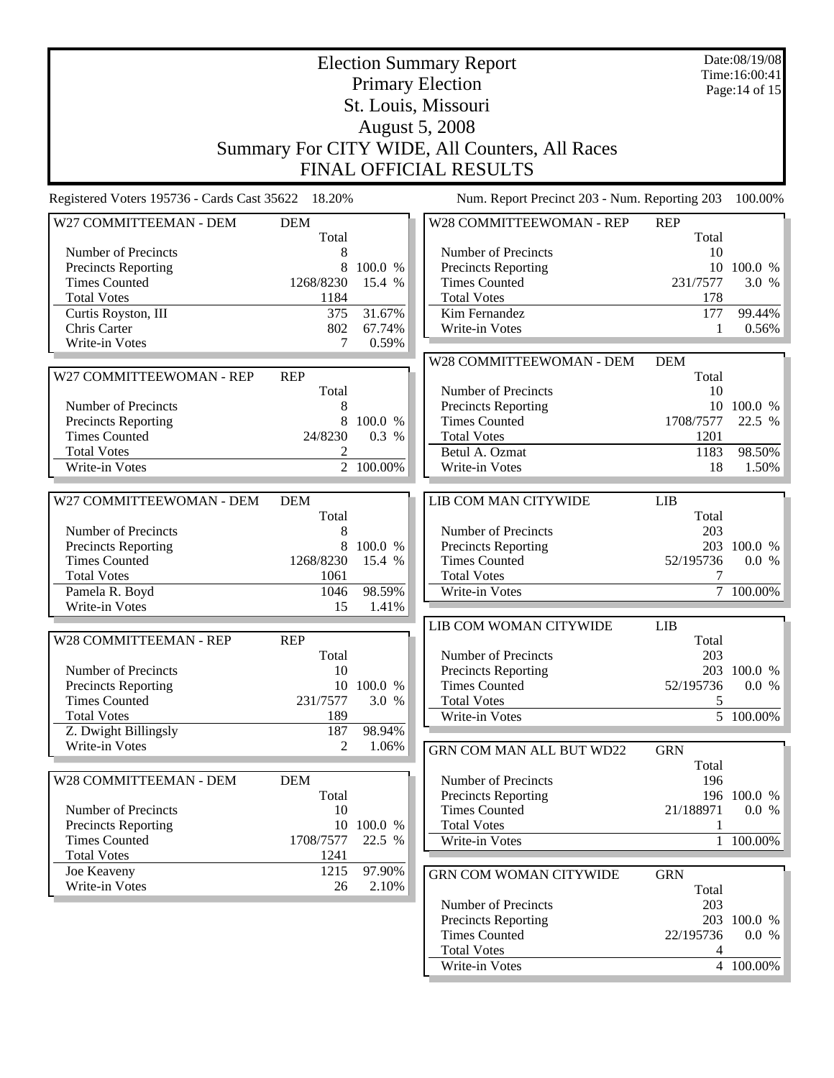| <b>Election Summary Report</b><br><b>Primary Election</b> |                     |            |                                                |                     | Date:08/19/08<br>Time:16:00:41 |  |
|-----------------------------------------------------------|---------------------|------------|------------------------------------------------|---------------------|--------------------------------|--|
|                                                           | Page: 14 of 15      |            |                                                |                     |                                |  |
|                                                           |                     |            |                                                |                     |                                |  |
|                                                           |                     |            | St. Louis, Missouri<br><b>August 5, 2008</b>   |                     |                                |  |
|                                                           |                     |            |                                                |                     |                                |  |
|                                                           |                     |            | Summary For CITY WIDE, All Counters, All Races |                     |                                |  |
|                                                           |                     |            | <b>FINAL OFFICIAL RESULTS</b>                  |                     |                                |  |
| Registered Voters 195736 - Cards Cast 35622 18.20%        |                     |            | Num. Report Precinct 203 - Num. Reporting 203  |                     | 100.00%                        |  |
|                                                           |                     |            |                                                |                     |                                |  |
| W27 COMMITTEEMAN - DEM                                    | <b>DEM</b><br>Total |            | W28 COMMITTEEWOMAN - REP                       | <b>REP</b><br>Total |                                |  |
| Number of Precincts                                       | 8                   |            | Number of Precincts                            | 10                  |                                |  |
| <b>Precincts Reporting</b>                                | 8                   | 100.0 %    | <b>Precincts Reporting</b>                     |                     | 10 100.0 %                     |  |
| <b>Times Counted</b>                                      | 1268/8230           | 15.4 %     | <b>Times Counted</b>                           | 231/7577            | 3.0 %                          |  |
| <b>Total Votes</b>                                        | 1184                |            | <b>Total Votes</b>                             | 178                 |                                |  |
| Curtis Royston, III                                       | 375                 | 31.67%     | Kim Fernandez                                  | 177                 | 99.44%                         |  |
| Chris Carter                                              | 802                 | 67.74%     | Write-in Votes                                 | 1                   | 0.56%                          |  |
| Write-in Votes                                            | 7                   | 0.59%      |                                                |                     |                                |  |
|                                                           |                     |            | W28 COMMITTEEWOMAN - DEM                       | <b>DEM</b>          |                                |  |
| W27 COMMITTEEWOMAN - REP                                  | <b>REP</b>          |            |                                                | Total               |                                |  |
|                                                           | Total               |            | Number of Precincts                            | 10                  |                                |  |
| Number of Precincts                                       | 8                   |            | <b>Precincts Reporting</b>                     |                     | 10 100.0 %                     |  |
| <b>Precincts Reporting</b>                                | 8                   | 100.0 %    | <b>Times Counted</b>                           | 1708/7577           | 22.5 %                         |  |
| <b>Times Counted</b>                                      | 24/8230             | 0.3 %      | <b>Total Votes</b>                             | 1201                |                                |  |
| <b>Total Votes</b>                                        | 2                   |            | Betul A. Ozmat                                 | 1183                | 98.50%                         |  |
| Write-in Votes                                            |                     | 2 100.00%  | Write-in Votes                                 | 18                  | 1.50%                          |  |
|                                                           |                     |            |                                                |                     |                                |  |
| W27 COMMITTEEWOMAN - DEM                                  | <b>DEM</b>          |            | <b>LIB COM MAN CITYWIDE</b>                    | <b>LIB</b>          |                                |  |
|                                                           | Total               |            |                                                | Total               |                                |  |
| Number of Precincts                                       | 8                   |            | Number of Precincts                            | 203                 |                                |  |
| <b>Precincts Reporting</b>                                | 8                   | 100.0 %    | Precincts Reporting                            |                     | 203 100.0 %                    |  |
| <b>Times Counted</b>                                      | 1268/8230           | 15.4 %     | <b>Times Counted</b>                           | 52/195736           | 0.0 %                          |  |
| <b>Total Votes</b>                                        | 1061                |            | <b>Total Votes</b>                             | 7                   |                                |  |
| Pamela R. Boyd                                            | 1046                | 98.59%     | Write-in Votes                                 |                     | $7 - 100.00\%$                 |  |
| Write-in Votes                                            | 15                  | 1.41%      |                                                |                     |                                |  |
|                                                           |                     |            | LIB COM WOMAN CITYWIDE                         | <b>LIB</b>          |                                |  |
| W28 COMMITTEEMAN - REP                                    | <b>REP</b>          |            |                                                | Total               |                                |  |
|                                                           | Total               |            | Number of Precincts                            | 203                 |                                |  |
| Number of Precincts                                       | 10                  |            | <b>Precincts Reporting</b>                     |                     | 203 100.0 %                    |  |
| <b>Precincts Reporting</b>                                |                     | 10 100.0 % | <b>Times Counted</b>                           | 52/195736           | 0.0 %                          |  |
| <b>Times Counted</b>                                      | 231/7577            | 3.0 %      | <b>Total Votes</b>                             | 5                   |                                |  |
| <b>Total Votes</b>                                        | 189                 |            | Write-in Votes                                 |                     | $\overline{5}$ 100.00%         |  |
| Z. Dwight Billingsly                                      | 187                 | 98.94%     |                                                |                     |                                |  |
| Write-in Votes                                            | 2                   | 1.06%      | GRN COM MAN ALL BUT WD22                       | <b>GRN</b>          |                                |  |
|                                                           |                     |            |                                                | Total               |                                |  |
| W28 COMMITTEEMAN - DEM                                    | <b>DEM</b>          |            | Number of Precincts                            | 196                 |                                |  |
|                                                           | Total               |            | Precincts Reporting                            |                     | 196 100.0 %                    |  |
| Number of Precincts                                       | 10                  |            | <b>Times Counted</b>                           | 21/188971           | 0.0 %                          |  |
| <b>Precincts Reporting</b>                                | 10                  | 100.0 %    | <b>Total Votes</b>                             | 1                   |                                |  |
| <b>Times Counted</b>                                      | 1708/7577           | 22.5 %     | Write-in Votes                                 |                     | 1 100.00%                      |  |
| <b>Total Votes</b>                                        | 1241                |            |                                                |                     |                                |  |
| Joe Keaveny                                               | 1215                | 97.90%     | <b>GRN COM WOMAN CITYWIDE</b>                  | <b>GRN</b>          |                                |  |
| Write-in Votes                                            | 26                  | 2.10%      |                                                | Total               |                                |  |
|                                                           |                     |            | Number of Precincts                            | 203                 |                                |  |
|                                                           |                     |            | Precincts Reporting                            |                     | 203 100.0 %                    |  |
|                                                           |                     |            | <b>Times Counted</b>                           | 22/195736           | 0.0 %                          |  |
|                                                           |                     |            | <b>Total Votes</b>                             | 4                   |                                |  |
|                                                           |                     |            | Write-in Votes                                 |                     | 4 100.00%                      |  |
|                                                           |                     |            |                                                |                     |                                |  |